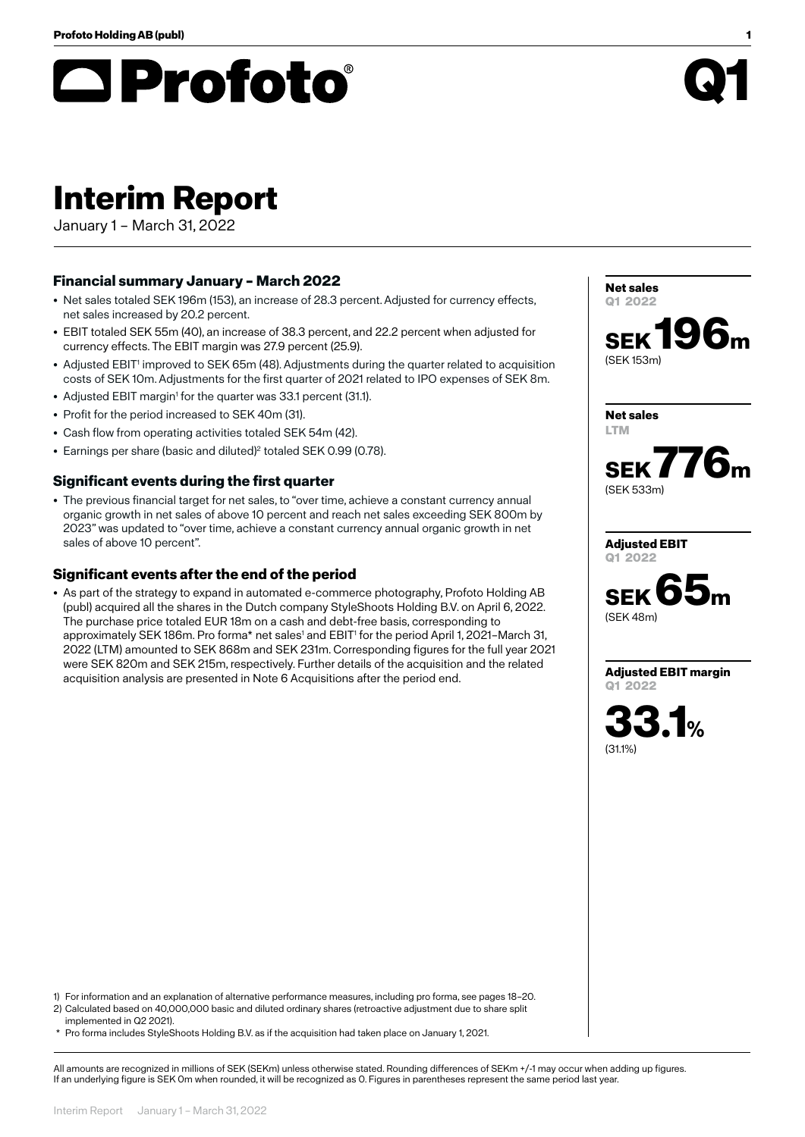# **□Profoto**®

## **Interim Report**

January 1 – March 31, 2022

## **Financial summary January – March 2022**

- Net sales totaled SEK 196m (153), an increase of 28.3 percent. Adjusted for currency effects, net sales increased by 20.2 percent.
- EBIT totaled SEK 55m (40), an increase of 38.3 percent, and 22.2 percent when adjusted for currency effects. The EBIT margin was 27.9 percent (25.9).
- Adjusted EBIT<sup>1</sup> improved to SEK 65m (48). Adjustments during the quarter related to acquisition costs of SEK 10m. Adjustments for the first quarter of 2021 related to IPO expenses of SEK 8m.
- Adjusted EBIT margin<sup>1</sup> for the quarter was 33.1 percent (31.1).
- Profit for the period increased to SEK 40m (31).
- Cash flow from operating activities totaled SEK 54m (42).
- Earnings per share (basic and diluted)<sup>2</sup> totaled SEK 0.99 (0.78).

### **Significant events during the first quarter**

• The previous financial target for net sales, to "over time, achieve a constant currency annual organic growth in net sales of above 10 percent and reach net sales exceeding SEK 800m by 2023" was updated to "over time, achieve a constant currency annual organic growth in net sales of above 10 percent".

### **Significant events after the end of the period**

• As part of the strategy to expand in automated e-commerce photography, Profoto Holding AB (publ) acquired all the shares in the Dutch company StyleShoots Holding B.V. on April 6, 2022. The purchase price totaled EUR 18m on a cash and debt-free basis, corresponding to approximately SEK 186m. Pro forma\* net sales<sup>1</sup> and EBIT<sup>1</sup> for the period April 1, 2021–March 31, 2022 (LTM) amounted to SEK 868m and SEK 231m. Corresponding figures for the full year 2021 were SEK 820m and SEK 215m, respectively. Further details of the acquisition and the related acquisition analysis are presented in Note 6 Acquisitions after the period end.

1) For information and an explanation of alternative performance measures, including pro forma, see pages 18–20. 2) Calculated based on 40,000,000 basic and diluted ordinary shares (retroactive adjustment due to share split implemented in Q2 2021).

\* Pro forma includes StyleShoots Holding B.V. as if the acquisition had taken place on January 1, 2021.

All amounts are recognized in millions of SEK (SEKm) unless otherwise stated. Rounding differences of SEKm +/-1 may occur when adding up figures. If an underlying figure is SEK 0m when rounded, it will be recognized as 0. Figures in parentheses represent the same period last year.

**Net sales Q1 2022 SEK 196m** (SEK 153m)

**SEK 776m**

**Adjusted EBIT**

**Net sales LTM**

(SEK 533m)



**Adjusted EBIT margin Q1 2022**

**33.1%** (31.1%)

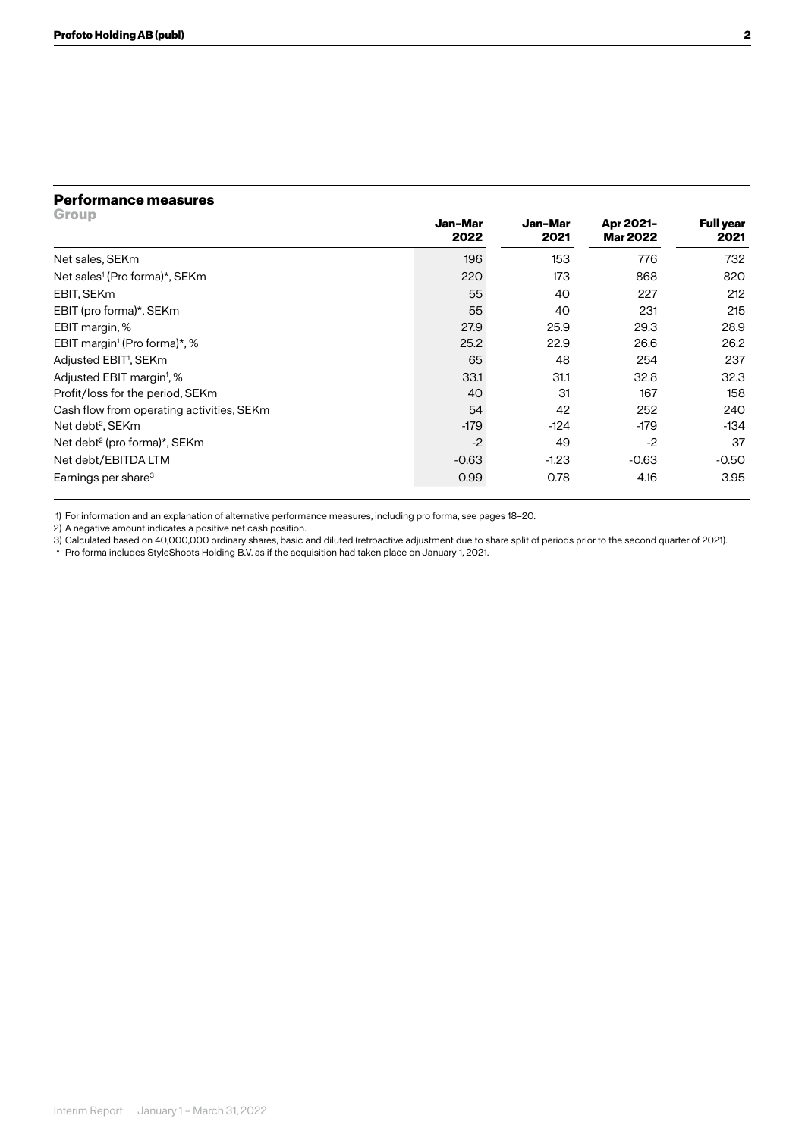### **Performance measures**

| <b>Group</b>                              | Jan-Mar<br>2022 | Jan-Mar<br>2021 | Apr 2021-<br><b>Mar 2022</b> | <b>Full year</b><br>2021 |
|-------------------------------------------|-----------------|-----------------|------------------------------|--------------------------|
| Net sales, SEKm                           | 196             | 153             | 776                          | 732                      |
| Net sales <sup>1</sup> (Pro forma)*, SEKm | 220             | 173             | 868                          | 820                      |
| EBIT, SEKm                                | 55              | 40              | 227                          | 212                      |
| EBIT (pro forma)*, SEKm                   | 55              | 40              | 231                          | 215                      |
| EBIT margin, %                            | 27.9            | 25.9            | 29.3                         | 28.9                     |
| EBIT margin <sup>1</sup> (Pro forma)*, %  | 25.2            | 22.9            | 26.6                         | 26.2                     |
| Adjusted EBIT <sup>1</sup> , SEKm         | 65              | 48              | 254                          | 237                      |
| Adjusted EBIT margin <sup>1</sup> , %     | 33.1            | 31.1            | 32.8                         | 32.3                     |
| Profit/loss for the period, SEKm          | 40              | $\mathbf{31}$   | 167                          | 158                      |
| Cash flow from operating activities, SEKm | 54              | 42              | 252                          | 240                      |
| Net debt <sup>2</sup> , SEKm              | $-179$          | $-124$          | $-179$                       | $-134$                   |
| Net debt <sup>2</sup> (pro forma)*, SEKm  | $-2$            | 49              | $-2$                         | 37                       |
| Net debt/EBITDA LTM                       | $-0.63$         | $-1.23$         | $-0.63$                      | $-0.50$                  |
| Earnings per share <sup>3</sup>           | 0.99            | 0.78            | 4.16                         | 3.95                     |

1) For information and an explanation of alternative performance measures, including pro forma, see pages 18–20.

2) A negative amount indicates a positive net cash position.

3) Calculated based on 40,000,000 ordinary shares, basic and diluted (retroactive adjustment due to share split of periods prior to the second quarter of 2021).

\* Pro forma includes StyleShoots Holding B.V. as if the acquisition had taken place on January 1, 2021.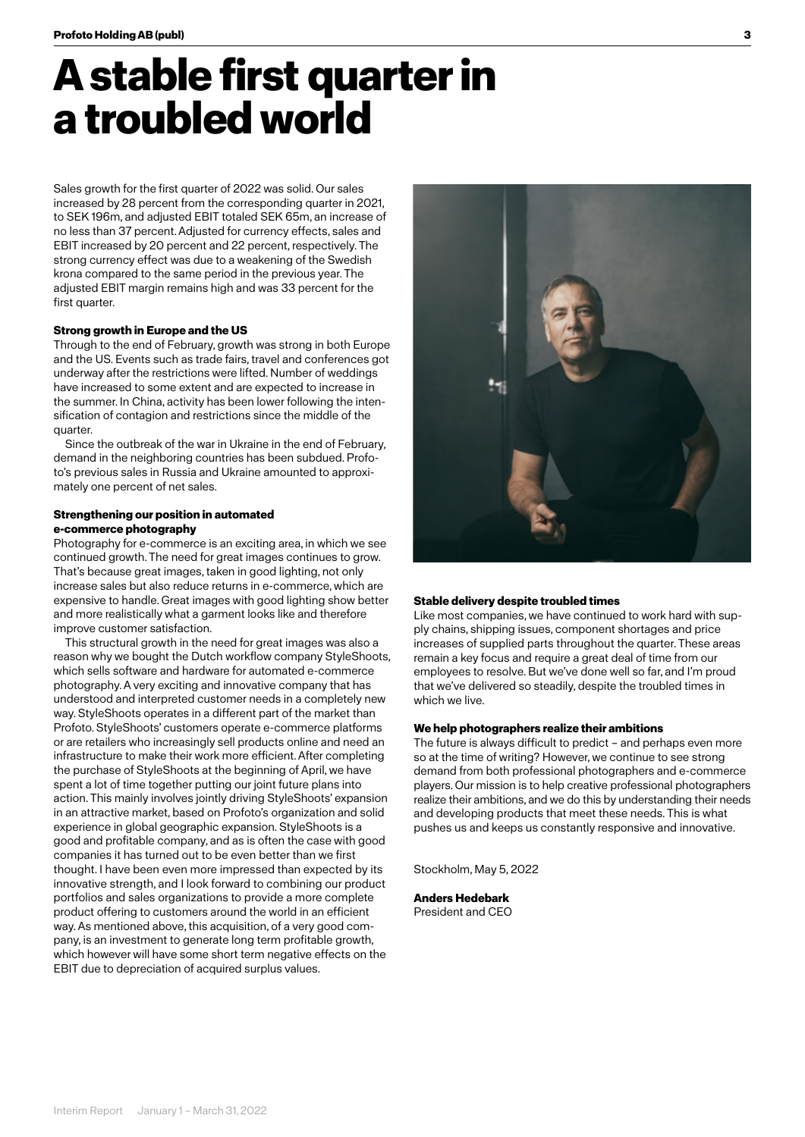## **A stable first quarter in a troubled world**

Sales growth for the first quarter of 2022 was solid. Our sales increased by 28 percent from the corresponding quarter in 2021, to SEK 196m, and adjusted EBIT totaled SEK 65m, an increase of no less than 37 percent. Adjusted for currency effects, sales and EBIT increased by 20 percent and 22 percent, respectively. The strong currency effect was due to a weakening of the Swedish krona compared to the same period in the previous year. The adjusted EBIT margin remains high and was 33 percent for the first quarter.

### **Strong growth in Europe and the US**

Through to the end of February, growth was strong in both Europe and the US. Events such as trade fairs, travel and conferences got underway after the restrictions were lifted. Number of weddings have increased to some extent and are expected to increase in the summer. In China, activity has been lower following the intensification of contagion and restrictions since the middle of the quarter.

Since the outbreak of the war in Ukraine in the end of February, demand in the neighboring countries has been subdued. Profoto's previous sales in Russia and Ukraine amounted to approximately one percent of net sales.

### **Strengthening our position in automated e-commerce photography**

Photography for e-commerce is an exciting area, in which we see continued growth. The need for great images continues to grow. That's because great images, taken in good lighting, not only increase sales but also reduce returns in e-commerce, which are expensive to handle. Great images with good lighting show better and more realistically what a garment looks like and therefore improve customer satisfaction.

This structural growth in the need for great images was also a reason why we bought the Dutch workflow company StyleShoots, which sells software and hardware for automated e-commerce photography. A very exciting and innovative company that has understood and interpreted customer needs in a completely new way. StyleShoots operates in a different part of the market than Profoto. StyleShoots' customers operate e-commerce platforms or are retailers who increasingly sell products online and need an infrastructure to make their work more efficient. After completing the purchase of StyleShoots at the beginning of April, we have spent a lot of time together putting our joint future plans into action. This mainly involves jointly driving StyleShoots' expansion in an attractive market, based on Profoto's organization and solid experience in global geographic expansion. StyleShoots is a good and profitable company, and as is often the case with good companies it has turned out to be even better than we first thought. I have been even more impressed than expected by its innovative strength, and I look forward to combining our product portfolios and sales organizations to provide a more complete product offering to customers around the world in an efficient way. As mentioned above, this acquisition, of a very good company, is an investment to generate long term profitable growth, which however will have some short term negative effects on the EBIT due to depreciation of acquired surplus values.



### **Stable delivery despite troubled times**

Like most companies, we have continued to work hard with supply chains, shipping issues, component shortages and price increases of supplied parts throughout the quarter. These areas remain a key focus and require a great deal of time from our employees to resolve. But we've done well so far, and I'm proud that we've delivered so steadily, despite the troubled times in which we live.

### **We help photographers realize their ambitions**

The future is always difficult to predict – and perhaps even more so at the time of writing? However, we continue to see strong demand from both professional photographers and e-commerce players. Our mission is to help creative professional photographers realize their ambitions, and we do this by understanding their needs and developing products that meet these needs. This is what pushes us and keeps us constantly responsive and innovative.

Stockholm, May 5, 2022

**Anders Hedebark**  President and CEO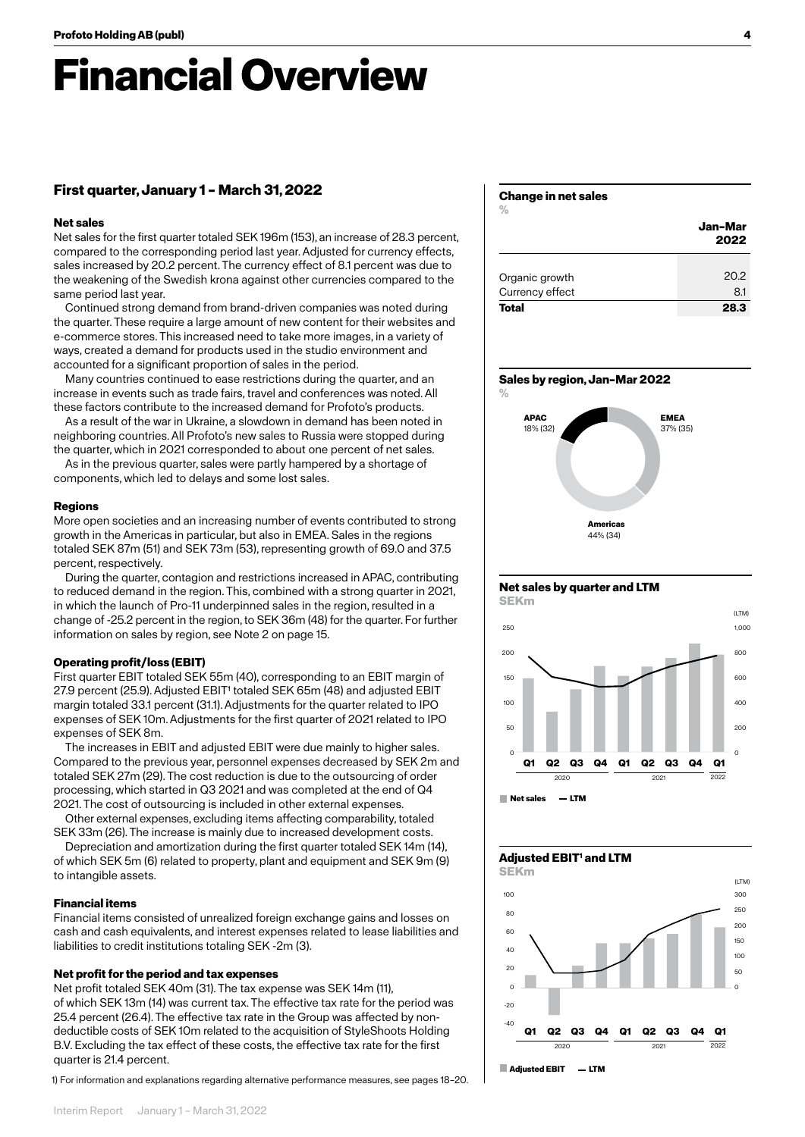## **Financial Overview**

### **First quarter, January 1 – March 31, 2022**

### **Net sales**

Net sales for the first quarter totaled SEK 196m (153), an increase of 28.3 percent, compared to the corresponding period last year. Adjusted for currency effects, sales increased by 20.2 percent. The currency effect of 8.1 percent was due to the weakening of the Swedish krona against other currencies compared to the same period last year.

Continued strong demand from brand-driven companies was noted during the quarter. These require a large amount of new content for their websites and e-commerce stores. This increased need to take more images, in a variety of ways, created a demand for products used in the studio environment and accounted for a significant proportion of sales in the period.

Many countries continued to ease restrictions during the quarter, and an increase in events such as trade fairs, travel and conferences was noted. All these factors contribute to the increased demand for Profoto's products.

As a result of the war in Ukraine, a slowdown in demand has been noted in neighboring countries. All Profoto's new sales to Russia were stopped during the quarter, which in 2021 corresponded to about one percent of net sales.  $10000$   $11$ 

As in the previous quarter, sales were partly hampered by a shortage of components, which led to delays and some lost sales.  $290^\circ$ 

### **Regions**

More open societies and an increasing number of events contributed to strong growth in the Americas in particular, but also in EMEA. Sales in the regions totaled SEK 87m (51) and SEK 73m (53), representing growth of 69.0 and 37.5 percent, respectively.

noon, repressivity.<br>During the quarter, contagion and restrictions increased in APAC, contributing to reduced demand in the region. This, combined with a strong quarter in 2021, in which the launch of Pro-11 underpinned sales in the region, resulted in a change of -25.2 percent in the region, to SEK 36m (48) for the quarter. For further information on sales by region, see Note 2 on page 15. onu iduun  $1.1$  61  $1.41$  61  $1.2$ 

### **Operating profit/loss (EBIT)**

First quarter EBIT totaled SEK 55m (40), corresponding to an EBIT margin of 27.9 percent (25.9). Adjusted EBIT<sup>1</sup> totaled SEK 65m (48) and adjusted EBIT margin totaled 33.1 percent (31.1). Adjustments for the quarter related to IPO expenses of SEK 10m. Adjustments for the first quarter of 2021 related to IPO expenses of SEK 8m.

The increases in EBIT and adjusted EBIT were due mainly to higher sales. Compared to the previous year, personnel expenses decreased by SEK 2m and Examples are the process your, possessions experience adverses by definition.<br>Totaled SEK 27m (29). The cost reduction is due to the outsourcing of order processing, which started in Q3 2021 and was completed at the end of Q4 2021. The cost of outsourcing is included in other external expenses.

Other external expenses, excluding items affecting comparability, totaled SEK 33m (26). The increase is mainly due to increased development costs.

nd the mortization during the first quarter totaled SEK 14m (14), Depreciation and amortization during the first quarter totaled SEK 14m (14), of which SEK 5m (6) related to property, plant and equipment and SEK 9m (9) to intangible assets.

### **Financial items**

Financial items consisted of unrealized foreign exchange gains and losses on cash and cash equivalents, and interest expenses related to lease liabilities and liabilities to credit institutions totaling SEK -2m (3).

### **Net profit for the period and tax expenses**

Net profit totaled SEK 40m (31). The tax expense was SEK 14m (11), of which SEK 13m (14) was current tax. The effective tax rate for the period was 25.4 percent (26.4). The effective tax rate in the Group was affected by nondeductible costs of SEK 10m related to the acquisition of StyleShoots Holding B.V. Excluding the tax effect of these costs, the effective tax rate for the first quarter is 21.4 percent.

1) For information and explanations regarding alternative performance measures, see pages 18–20.

#### Interim Report January 1 – March 31, 2022

### **Change in net sales**

|                 | Jan-Mar<br>2022 |
|-----------------|-----------------|
| Organic growth  | 20.2            |
| Currency effect | 8.1             |
| <b>Total</b>    | 28.3            |

### **Sales by region, Jan–Mar 2022**



### **Net sales by quarter and LTM**



 **Net sales LTM**  60 1000

-20

0

## Adjusted **EBIT<sup>1</sup>** and LTM

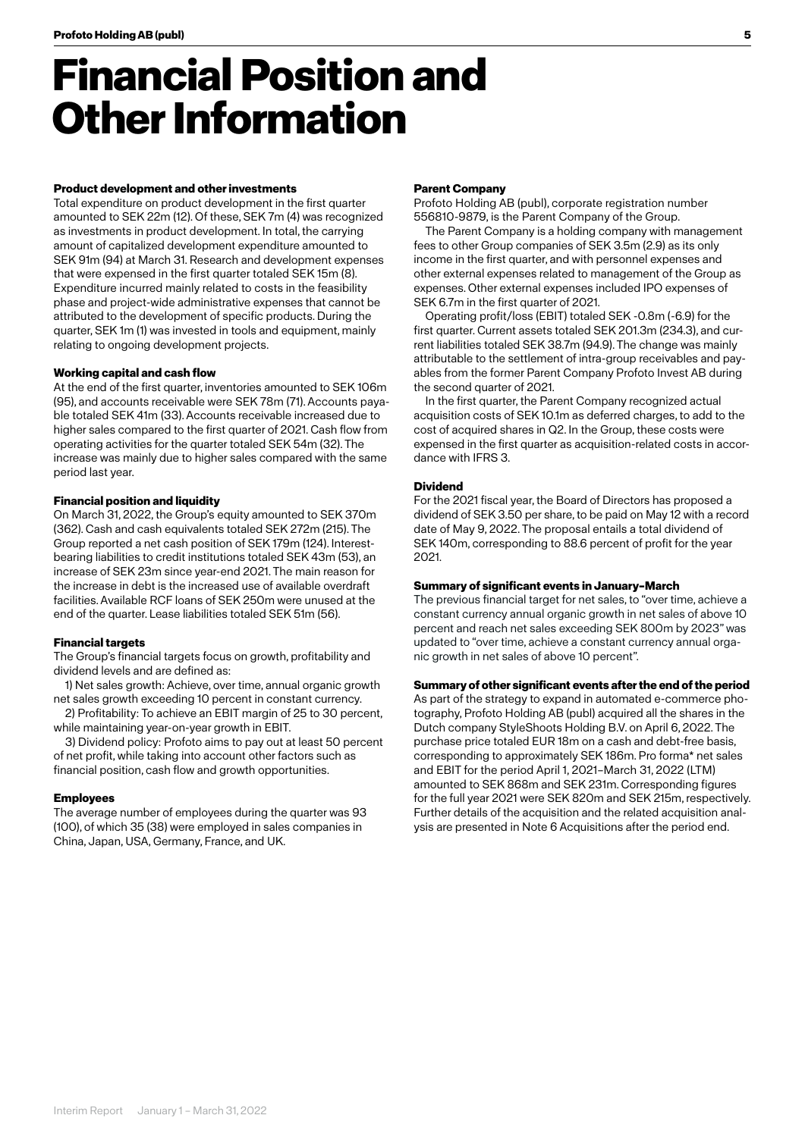## **Financial Position and Other Information**

### **Product development and other investments**

Total expenditure on product development in the first quarter amounted to SEK 22m (12). Of these, SEK 7m (4) was recognized as investments in product development. In total, the carrying amount of capitalized development expenditure amounted to SEK 91m (94) at March 31. Research and development expenses that were expensed in the first quarter totaled SEK 15m (8). Expenditure incurred mainly related to costs in the feasibility phase and project-wide administrative expenses that cannot be attributed to the development of specific products. During the quarter, SEK 1m (1) was invested in tools and equipment, mainly relating to ongoing development projects.

#### **Working capital and cash flow**

At the end of the first quarter, inventories amounted to SEK 106m (95), and accounts receivable were SEK 78m (71). Accounts payable totaled SEK 41m (33). Accounts receivable increased due to higher sales compared to the first quarter of 2021. Cash flow from operating activities for the quarter totaled SEK 54m (32). The increase was mainly due to higher sales compared with the same period last year.

### **Financial position and liquidity**

On March 31, 2022, the Group's equity amounted to SEK 370m (362). Cash and cash equivalents totaled SEK 272m (215). The Group reported a net cash position of SEK 179m (124). Interestbearing liabilities to credit institutions totaled SEK 43m (53), an increase of SEK 23m since year-end 2021. The main reason for the increase in debt is the increased use of available overdraft facilities. Available RCF loans of SEK 250m were unused at the end of the quarter. Lease liabilities totaled SEK 51m (56).

### **Financial targets**

The Group's financial targets focus on growth, profitability and dividend levels and are defined as:

1) Net sales growth: Achieve, over time, annual organic growth net sales growth exceeding 10 percent in constant currency.

2) Profitability: To achieve an EBIT margin of 25 to 30 percent, while maintaining year-on-year growth in EBIT.

3) Dividend policy: Profoto aims to pay out at least 50 percent of net profit, while taking into account other factors such as financial position, cash flow and growth opportunities.

### **Employees**

The average number of employees during the quarter was 93 (100), of which 35 (38) were employed in sales companies in China, Japan, USA, Germany, France, and UK.

### **Parent Company**

Profoto Holding AB (publ), corporate registration number 556810-9879, is the Parent Company of the Group.

The Parent Company is a holding company with management fees to other Group companies of SEK 3.5m (2.9) as its only income in the first quarter, and with personnel expenses and other external expenses related to management of the Group as expenses. Other external expenses included IPO expenses of SEK 6.7m in the first quarter of 2021.

Operating profit/loss (EBIT) totaled SEK -0.8m (-6.9) for the first quarter. Current assets totaled SEK 201.3m (234.3), and current liabilities totaled SEK 38.7m (94.9). The change was mainly attributable to the settlement of intra-group receivables and payables from the former Parent Company Profoto Invest AB during the second quarter of 2021.

In the first quarter, the Parent Company recognized actual acquisition costs of SEK 10.1m as deferred charges, to add to the cost of acquired shares in Q2. In the Group, these costs were expensed in the first quarter as acquisition-related costs in accordance with IFRS 3.

### **Dividend**

For the 2021 fiscal year, the Board of Directors has proposed a dividend of SEK 3.50 per share, to be paid on May 12 with a record date of May 9, 2022. The proposal entails a total dividend of SEK 140m, corresponding to 88.6 percent of profit for the year 2021.

### **Summary of significant events in January–March**

The previous financial target for net sales, to "over time, achieve a constant currency annual organic growth in net sales of above 10 percent and reach net sales exceeding SEK 800m by 2023" was updated to "over time, achieve a constant currency annual organic growth in net sales of above 10 percent".

### **Summary of other significant events after the end of the period**

As part of the strategy to expand in automated e-commerce photography, Profoto Holding AB (publ) acquired all the shares in the Dutch company StyleShoots Holding B.V. on April 6, 2022. The purchase price totaled EUR 18m on a cash and debt-free basis, corresponding to approximately SEK 186m. Pro forma\* net sales and EBIT for the period April 1, 2021–March 31, 2022 (LTM) amounted to SEK 868m and SEK 231m. Corresponding figures for the full year 2021 were SEK 820m and SEK 215m, respectively. Further details of the acquisition and the related acquisition analysis are presented in Note 6 Acquisitions after the period end.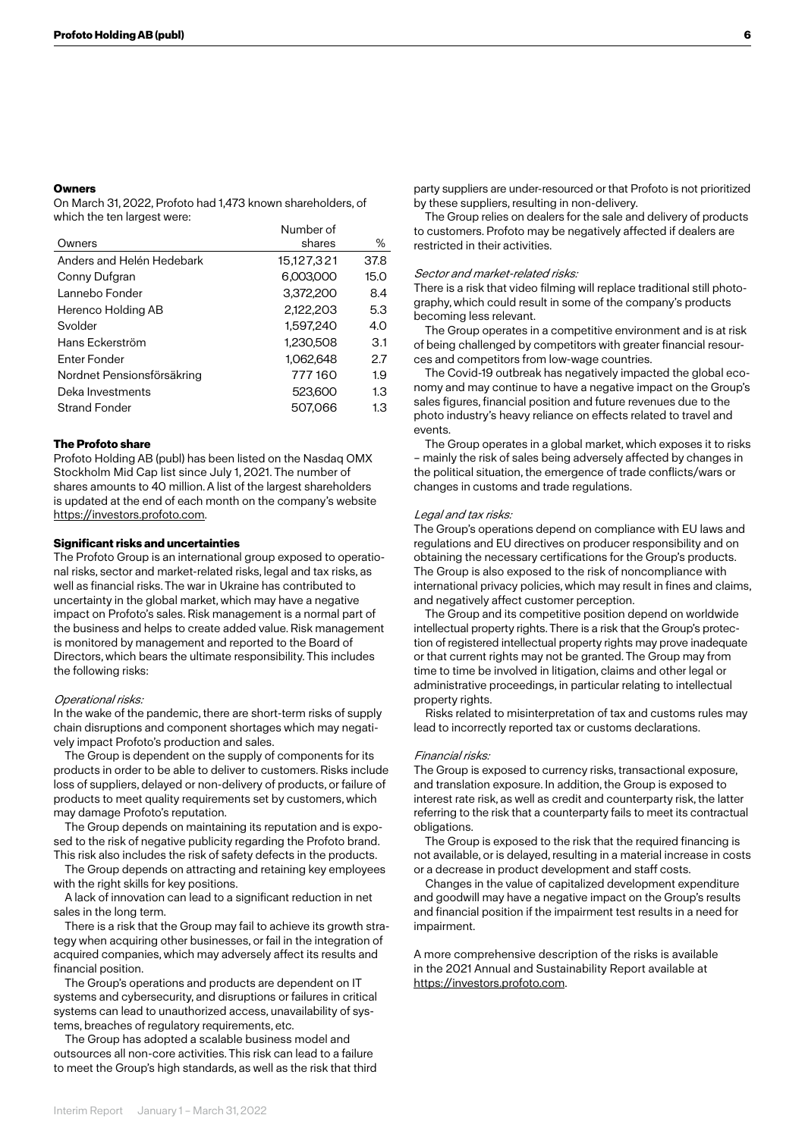### **Owners**

On March 31, 2022, Profoto had 1,473 known shareholders, of which the ten largest were:

|                            | Number of  |      |
|----------------------------|------------|------|
| Owners                     | shares     | ℅    |
| Anders and Helén Hedebark  | 15,127,321 | 37.8 |
| Conny Dufgran              | 6,003,000  | 15.0 |
| Lannebo Fonder             | 3,372,200  | 8.4  |
| Herenco Holding AB         | 2.122.203  | 5.3  |
| Svolder                    | 1.597.240  | 4.0  |
| Hans Eckerström            | 1,230,508  | 3.1  |
| Enter Fonder               | 1,062,648  | 2.7  |
| Nordnet Pensionsförsäkring | 777160     | 1.9  |
| Deka Investments           | 523,600    | 1.3  |
| <b>Strand Fonder</b>       | 507,066    | 1.3  |
|                            |            |      |

### **The Profoto share**

Profoto Holding AB (publ) has been listed on the Nasdaq OMX Stockholm Mid Cap list since July 1, 2021. The number of shares amounts to 40 million. A list of the largest shareholders is updated at the end of each month on the company's website https://investors.profoto.com.

### **Significant risks and uncertainties**

The Profoto Group is an international group exposed to operational risks, sector and market-related risks, legal and tax risks, as well as financial risks. The war in Ukraine has contributed to uncertainty in the global market, which may have a negative impact on Profoto's sales. Risk management is a normal part of the business and helps to create added value. Risk management is monitored by management and reported to the Board of Directors, which bears the ultimate responsibility. This includes the following risks:

#### Operational risks:

In the wake of the pandemic, there are short-term risks of supply chain disruptions and component shortages which may negatively impact Profoto's production and sales.

The Group is dependent on the supply of components for its products in order to be able to deliver to customers. Risks include loss of suppliers, delayed or non-delivery of products, or failure of products to meet quality requirements set by customers, which may damage Profoto's reputation.

The Group depends on maintaining its reputation and is exposed to the risk of negative publicity regarding the Profoto brand. This risk also includes the risk of safety defects in the products.

The Group depends on attracting and retaining key employees with the right skills for key positions.

A lack of innovation can lead to a significant reduction in net sales in the long term.

There is a risk that the Group may fail to achieve its growth strategy when acquiring other businesses, or fail in the integration of acquired companies, which may adversely affect its results and financial position.

The Group's operations and products are dependent on IT systems and cybersecurity, and disruptions or failures in critical systems can lead to unauthorized access, unavailability of systems, breaches of regulatory requirements, etc.

The Group has adopted a scalable business model and outsources all non-core activities. This risk can lead to a failure to meet the Group's high standards, as well as the risk that third party suppliers are under-resourced or that Profoto is not prioritized by these suppliers, resulting in non-delivery.

The Group relies on dealers for the sale and delivery of products to customers. Profoto may be negatively affected if dealers are restricted in their activities.

### Sector and market-related risks:

There is a risk that video filming will replace traditional still photography, which could result in some of the company's products becoming less relevant.

The Group operates in a competitive environment and is at risk of being challenged by competitors with greater financial resources and competitors from low-wage countries.

The Covid-19 outbreak has negatively impacted the global economy and may continue to have a negative impact on the Group's sales figures, financial position and future revenues due to the photo industry's heavy reliance on effects related to travel and events.

The Group operates in a global market, which exposes it to risks – mainly the risk of sales being adversely affected by changes in the political situation, the emergence of trade conflicts/wars or changes in customs and trade regulations.

#### Legal and tax risks:

The Group's operations depend on compliance with EU laws and regulations and EU directives on producer responsibility and on obtaining the necessary certifications for the Group's products. The Group is also exposed to the risk of noncompliance with international privacy policies, which may result in fines and claims, and negatively affect customer perception.

The Group and its competitive position depend on worldwide intellectual property rights. There is a risk that the Group's protection of registered intellectual property rights may prove inadequate or that current rights may not be granted. The Group may from time to time be involved in litigation, claims and other legal or administrative proceedings, in particular relating to intellectual property rights.

Risks related to misinterpretation of tax and customs rules may lead to incorrectly reported tax or customs declarations.

#### Financial risks:

The Group is exposed to currency risks, transactional exposure, and translation exposure. In addition, the Group is exposed to interest rate risk, as well as credit and counterparty risk, the latter referring to the risk that a counterparty fails to meet its contractual obligations.

The Group is exposed to the risk that the required financing is not available, or is delayed, resulting in a material increase in costs or a decrease in product development and staff costs.

Changes in the value of capitalized development expenditure and goodwill may have a negative impact on the Group's results and financial position if the impairment test results in a need for impairment.

A more comprehensive description of the risks is available in the 2021 Annual and Sustainability Report available at https://investors.profoto.com.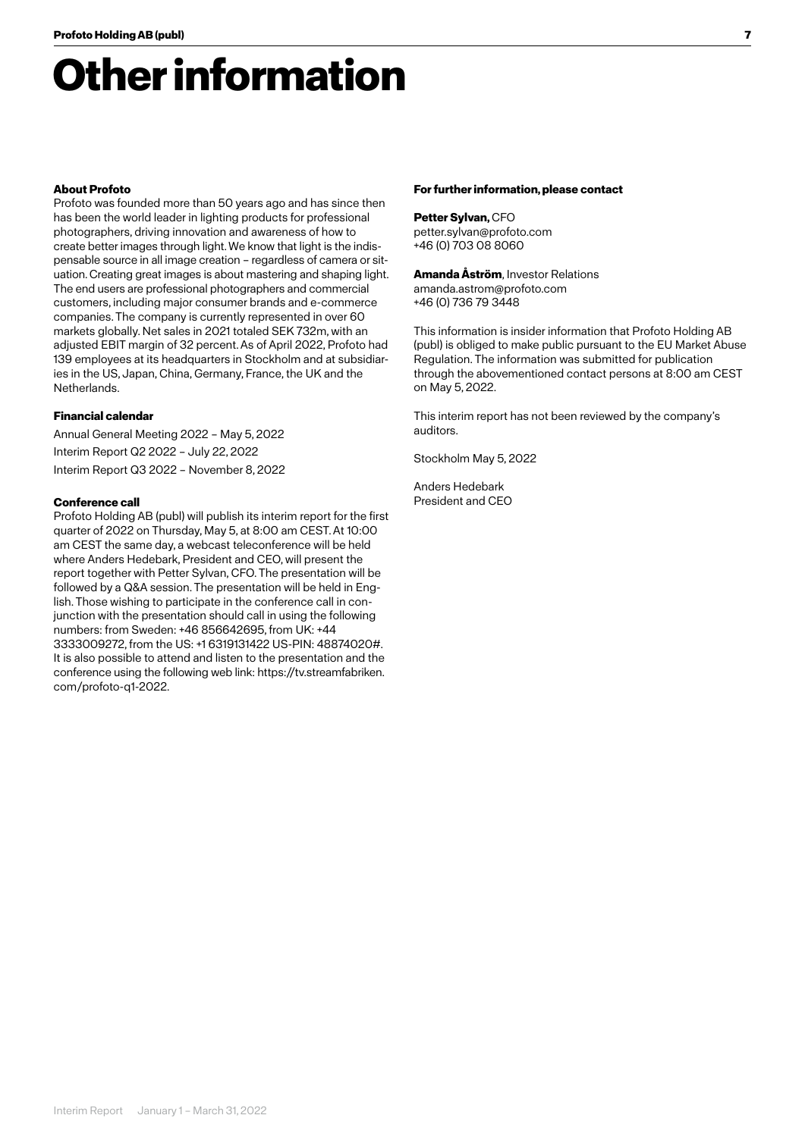## **Other information**

### **About Profoto**

Profoto was founded more than 50 years ago and has since then has been the world leader in lighting products for professional photographers, driving innovation and awareness of how to create better images through light. We know that light is the indispensable source in all image creation – regardless of camera or situation. Creating great images is about mastering and shaping light. The end users are professional photographers and commercial customers, including major consumer brands and e-commerce companies. The company is currently represented in over 60 markets globally. Net sales in 2021 totaled SEK 732m, with an adjusted EBIT margin of 32 percent. As of April 2022, Profoto had 139 employees at its headquarters in Stockholm and at subsidiaries in the US, Japan, China, Germany, France, the UK and the Netherlands.

### **Financial calendar**

Annual General Meeting 2022 – May 5, 2022 Interim Report Q2 2022 – July 22, 2022 Interim Report Q3 2022 – November 8, 2022

### **Conference call**

Profoto Holding AB (publ) will publish its interim report for the first quarter of 2022 on Thursday, May 5, at 8:00 am CEST. At 10:00 am CEST the same day, a webcast teleconference will be held where Anders Hedebark, President and CEO, will present the report together with Petter Sylvan, CFO. The presentation will be followed by a Q&A session. The presentation will be held in English. Those wishing to participate in the conference call in conjunction with the presentation should call in using the following numbers: from Sweden: +46 856642695, from UK: +44 3333009272, from the US: +1 6319131422 US-PIN: 48874020#. It is also possible to attend and listen to the presentation and the conference using the following web link: https://tv.streamfabriken. com/profoto-q1-2022.

### **For further information, please contact**

**Petter Sylvan,** CFO petter.sylvan@profoto.com +46 (0) 703 08 8060

**Amanda Åström**, Investor Relations amanda.astrom@profoto.com +46 (0) 736 79 3448

This information is insider information that Profoto Holding AB (publ) is obliged to make public pursuant to the EU Market Abuse Regulation. The information was submitted for publication through the abovementioned contact persons at 8:00 am CEST on May 5, 2022.

This interim report has not been reviewed by the company's auditors.

Stockholm May 5, 2022

Anders Hedebark President and CEO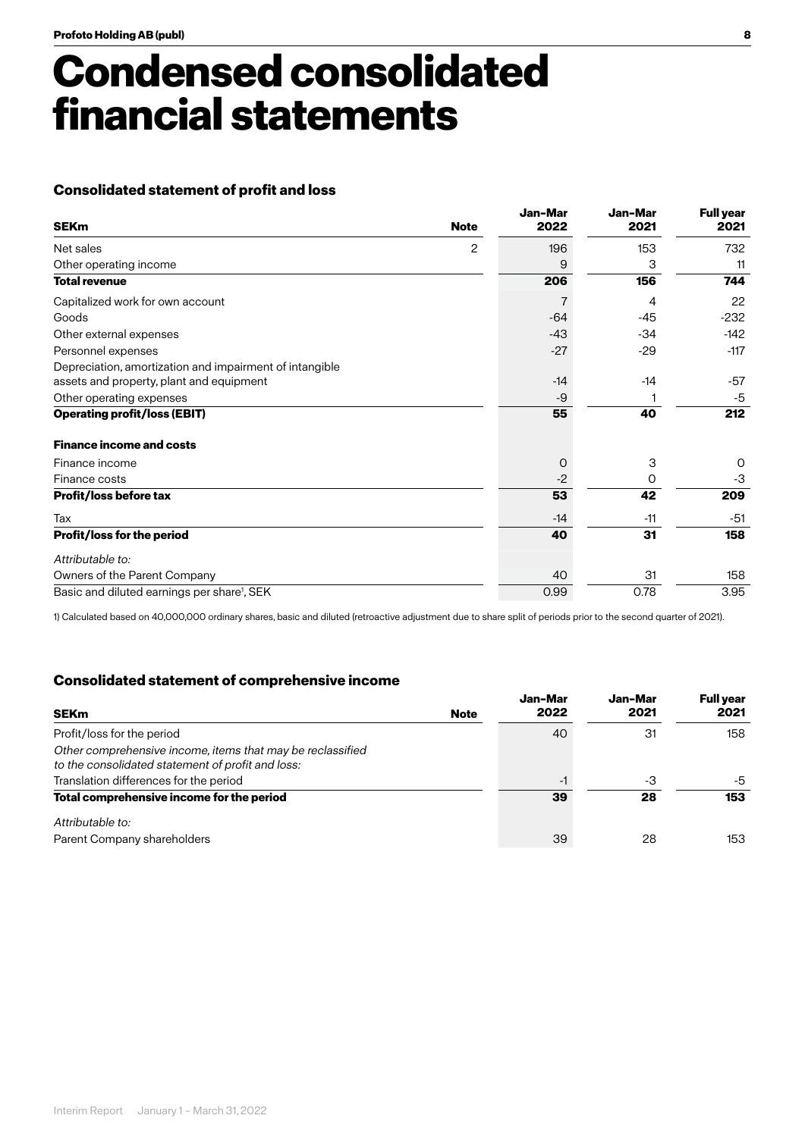## **Condensed consolidated financial statements**

## **Consolidated statement of profit and loss**

| <b>SEKm</b>                                             | <b>Note</b> | Jan-Mar<br>2022 | Jan-Mar<br>2021 | <b>Full year</b><br>2021 |
|---------------------------------------------------------|-------------|-----------------|-----------------|--------------------------|
| Net sales                                               | 2           | 196             | 153             | 732                      |
| Other operating income                                  |             | 9               | 3               | 11                       |
| <b>Total revenue</b>                                    |             | 206             | 156             | 744                      |
| Capitalized work for own account                        |             | 7               | 4               | 22                       |
| Goods                                                   |             | $-64$           | $-45$           | $-232$                   |
| Other external expenses                                 |             | $-43$           | $-34$           | $-142$                   |
| Personnel expenses                                      |             | $-27$           | $-29$           | $-117$                   |
| Depreciation, amortization and impairment of intangible |             |                 |                 |                          |
| assets and property, plant and equipment                |             | $-14$           | $-14$           | -57                      |
| Other operating expenses                                |             | -9              |                 | $-5$                     |
| <b>Operating profit/loss (EBIT)</b>                     |             | 55              | 40              | 212                      |
| <b>Finance income and costs</b>                         |             |                 |                 |                          |
| Finance income                                          |             | $\circ$         | 3               | 0                        |
| Finance costs                                           |             | $-2$            | 0               | $-3$                     |
| <b>Profit/loss before tax</b>                           |             | 53              | 42              | 209                      |
| Tax                                                     |             | $-14$           | $-11$           | $-51$                    |
| Profit/loss for the period                              |             | 40              | 31              | 158                      |
| Attributable to:                                        |             |                 |                 |                          |
| Owners of the Parent Company                            |             | 40              | 31              | 158                      |
| Basic and diluted earnings per share <sup>1</sup> , SEK |             | 0.99            | 0.78            | 3.95                     |

1) Calculated based on 40,000,000 ordinary shares, basic and diluted (retroactive adjustment due to share split of periods prior to the second quarter of 2021).

### **Consolidated statement of comprehensive income**

| <b>SEKm</b>                                                                                                     | <b>Note</b> | Jan-Mar<br>2022 | Jan-Mar<br>2021 | <b>Full year</b><br>2021 |
|-----------------------------------------------------------------------------------------------------------------|-------------|-----------------|-----------------|--------------------------|
| Profit/loss for the period                                                                                      |             | 40              | 31              | 158                      |
| Other comprehensive income, items that may be reclassified<br>to the consolidated statement of profit and loss: |             |                 |                 |                          |
| Translation differences for the period                                                                          |             | -1              | -3              | -5                       |
| Total comprehensive income for the period                                                                       |             | 39              | 28              | 153                      |
| Attributable to:                                                                                                |             |                 |                 |                          |
| Parent Company shareholders                                                                                     |             | 39              | 28              | 153                      |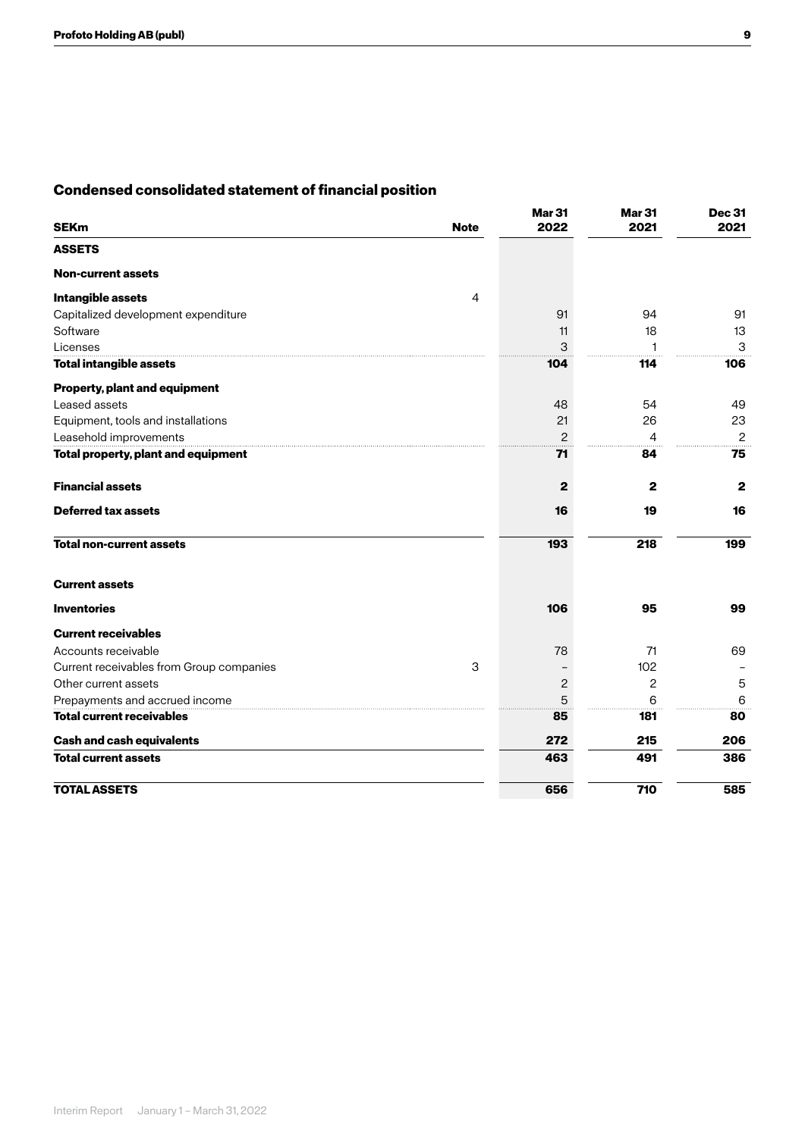## **Condensed consolidated statement of financial position**

| <b>SEKm</b>                              | <b>Note</b>    | <b>Mar 31</b><br>2022 | <b>Mar 31</b><br>2021 | <b>Dec 31</b><br>2021 |
|------------------------------------------|----------------|-----------------------|-----------------------|-----------------------|
| <b>ASSETS</b>                            |                |                       |                       |                       |
| <b>Non-current assets</b>                |                |                       |                       |                       |
| Intangible assets                        | $\overline{4}$ |                       |                       |                       |
| Capitalized development expenditure      |                | 91                    | 94                    | 91                    |
| Software                                 |                | 11                    | 18                    | 13                    |
| Licenses                                 |                | 3                     |                       | 3                     |
| <b>Total intangible assets</b>           |                | 104                   | 114                   | 106                   |
| <b>Property, plant and equipment</b>     |                |                       |                       |                       |
| Leased assets                            |                | 48                    | 54                    | 49                    |
| Equipment, tools and installations       |                | 21                    | 26                    | 23                    |
| Leasehold improvements                   |                | $\overline{c}$        | 4                     | $\mathbf{2}$          |
| Total property, plant and equipment      |                | 71                    | 84                    | 75                    |
| <b>Financial assets</b>                  |                | $\mathbf{2}$          | 2                     | $\mathbf{2}$          |
| <b>Deferred tax assets</b>               |                | 16                    | 19                    | 16                    |
| <b>Total non-current assets</b>          |                | 193                   | 218                   | 199                   |
| <b>Current assets</b>                    |                |                       |                       |                       |
| <b>Inventories</b>                       |                | 106                   | 95                    | 99                    |
| <b>Current receivables</b>               |                |                       |                       |                       |
| Accounts receivable                      |                | 78                    | 71                    | 69                    |
| Current receivables from Group companies | 3              |                       | 102                   |                       |
| Other current assets                     |                | $\mathbf{2}$          | 2                     | 5                     |
| Prepayments and accrued income           |                | 5                     | 6                     | 6                     |
| <b>Total current receivables</b>         |                | 85                    | 181                   | 80                    |
| <b>Cash and cash equivalents</b>         |                | 272                   | 215                   | 206                   |
| <b>Total current assets</b>              |                | 463                   | 491                   | 386                   |
| <b>TOTAL ASSETS</b>                      |                | 656                   | 710                   | 585                   |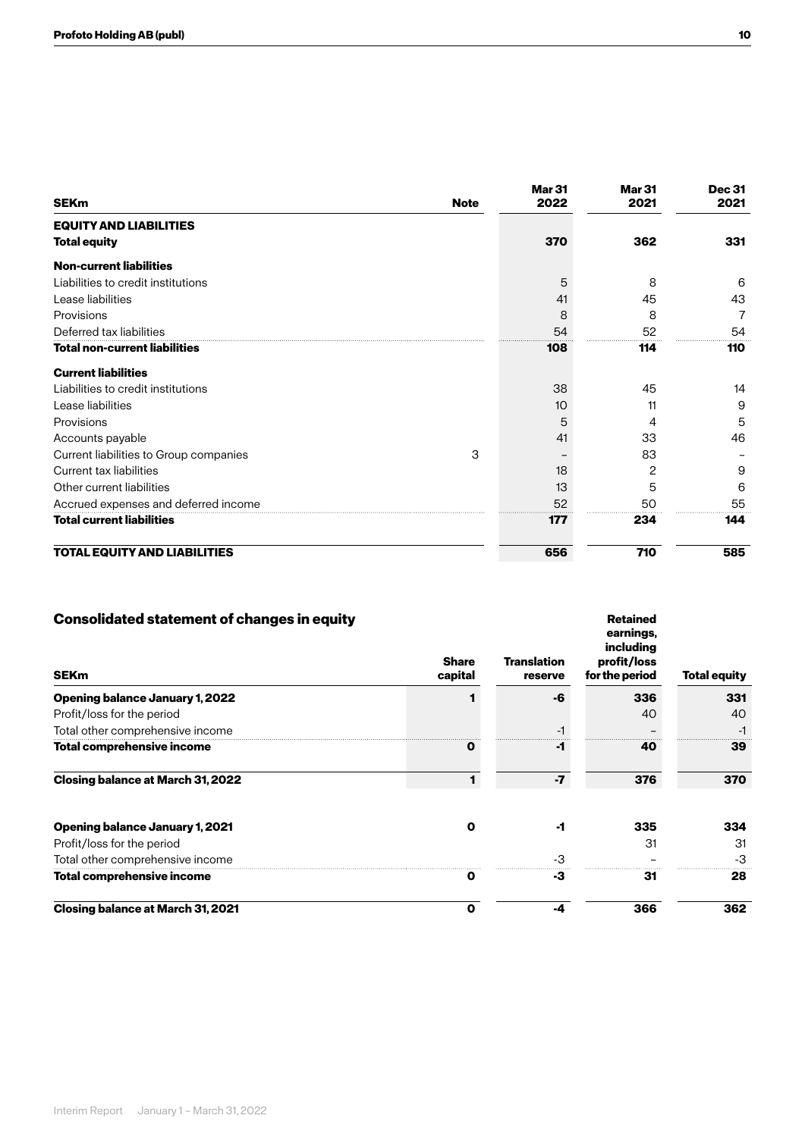| <b>SEKm</b>                            | <b>Note</b> | <b>Mar 31</b><br>2022 | <b>Mar 31</b><br>2021 | <b>Dec 31</b><br>2021 |
|----------------------------------------|-------------|-----------------------|-----------------------|-----------------------|
| <b>EQUITY AND LIABILITIES</b>          |             |                       |                       |                       |
| <b>Total equity</b>                    |             | 370                   | 362                   | 331                   |
| <b>Non-current liabilities</b>         |             |                       |                       |                       |
| Liabilities to credit institutions     |             | 5                     | 8                     | 6                     |
| Lease liabilities                      |             | 41                    | 45                    | 43                    |
| Provisions                             |             | 8                     | 8                     | 7                     |
| Deferred tax liabilities               |             | 54                    | 52                    | 54                    |
| <b>Total non-current liabilities</b>   |             | 108                   | 114                   | 110                   |
| <b>Current liabilities</b>             |             |                       |                       |                       |
| Liabilities to credit institutions     |             | 38                    | 45                    | 14                    |
| Lease liabilities                      |             | 10                    | 11                    | 9                     |
| Provisions                             |             | 5                     | 4                     | 5                     |
| Accounts payable                       |             | 41                    | 33                    | 46                    |
| Current liabilities to Group companies | 3           |                       | 83                    |                       |
| Current tax liabilities                |             | 18                    | 2                     | 9                     |
| Other current liabilities              |             | 13                    | 5                     | 6                     |
| Accrued expenses and deferred income   |             | 52                    | 50                    | 55                    |
| <b>Total current liabilities</b>       |             | 177                   | 234                   | 144                   |
| <b>TOTAL EQUITY AND LIABILITIES</b>    |             | 656                   | 710                   | 585                   |

| <b>Consolidated statement of changes in equity</b> |                         |                               | <b>Retained</b><br>earnings,<br>including |                     |
|----------------------------------------------------|-------------------------|-------------------------------|-------------------------------------------|---------------------|
| <b>SEKm</b>                                        | <b>Share</b><br>capital | <b>Translation</b><br>reserve | profit/loss<br>for the period             | <b>Total equity</b> |
| Opening balance January 1, 2022                    |                         | -6                            | 336                                       | 331                 |
| Profit/loss for the period                         |                         |                               | 40                                        | 40                  |
| Total other comprehensive income                   |                         |                               |                                           |                     |
| Total comprehensive income                         | O                       | -1                            | 40                                        | 39                  |
| <b>Closing balance at March 31, 2022</b>           |                         | $-7$                          | 376                                       | 370                 |
| <b>Opening balance January 1, 2021</b>             | Ω                       | -1                            | 335                                       | 334                 |
| Profit/loss for the period                         |                         |                               | 31                                        | 31                  |
| Total other comprehensive income                   |                         | -3                            |                                           | -3                  |
| Total comprehensive income                         |                         | -3                            | 31                                        | 28                  |
| <b>Closing balance at March 31, 2021</b>           | Ο                       | -4                            | 366                                       | 362                 |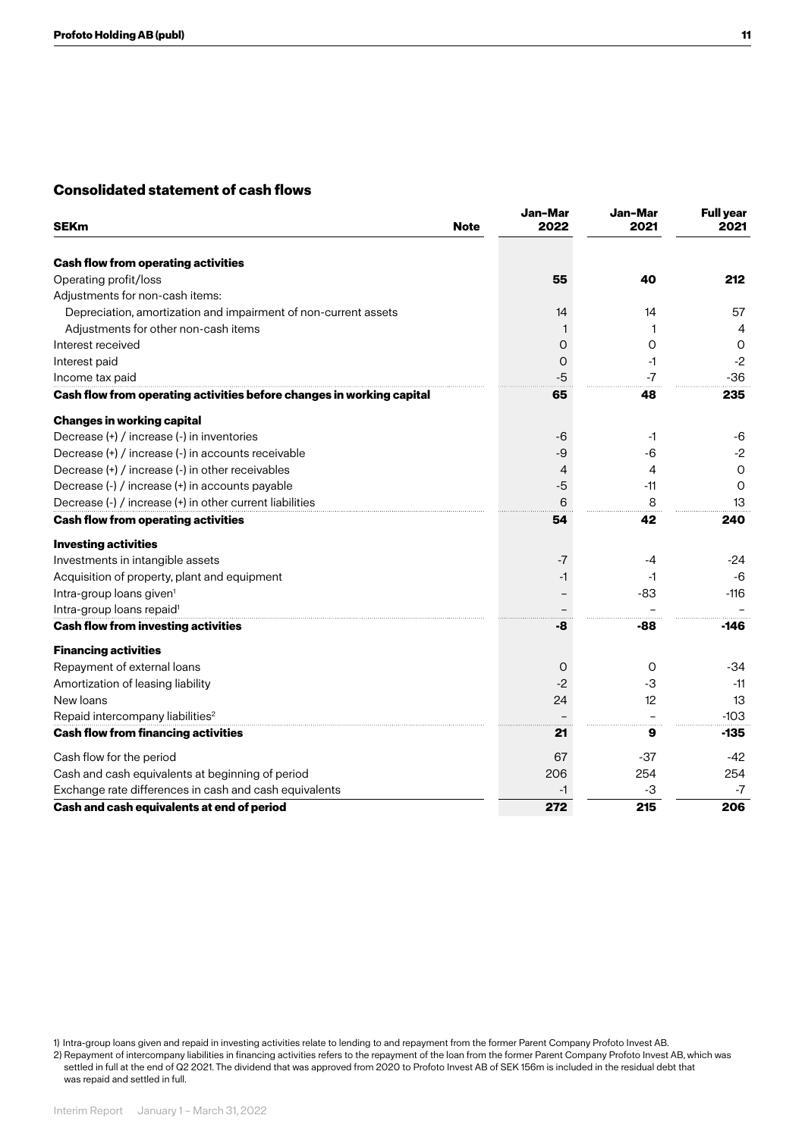## **Consolidated statement of cash flows**

| <b>SEKm</b>                                                           | <b>Note</b> | Jan-Mar<br>2022 | Jan-Mar<br>2021 | <b>Full year</b><br>2021 |
|-----------------------------------------------------------------------|-------------|-----------------|-----------------|--------------------------|
| <b>Cash flow from operating activities</b>                            |             |                 |                 |                          |
| Operating profit/loss                                                 |             | 55              | 40              | 212                      |
| Adjustments for non-cash items:                                       |             |                 |                 |                          |
| Depreciation, amortization and impairment of non-current assets       |             | 14              | 14              | 57                       |
| Adjustments for other non-cash items                                  |             |                 |                 | 4                        |
| Interest received                                                     |             | 0               | 0               | O                        |
| Interest paid                                                         |             | 0               | -1              | $-2$                     |
| Income tax paid                                                       |             | -5              | $-7$            | $-36$                    |
| Cash flow from operating activities before changes in working capital |             | 65              | 48              | 235                      |
| <b>Changes in working capital</b>                                     |             |                 |                 |                          |
| Decrease (+) / increase (-) in inventories                            |             | -6              | -1              | -6                       |
| Decrease (+) / increase (-) in accounts receivable                    |             | -9              | -6              | $-2$                     |
| Decrease (+) / increase (-) in other receivables                      |             | 4               | 4               | $\circ$                  |
| Decrease (-) / increase (+) in accounts payable                       |             | -5              | -11             | $\Omega$                 |
| Decrease (-) / increase (+) in other current liabilities              |             | 6               | 8               | 13                       |
| <b>Cash flow from operating activities</b>                            |             | 54              | 42              | 240                      |
| <b>Investing activities</b>                                           |             |                 |                 |                          |
| Investments in intangible assets                                      |             | -7              | -4              | -24                      |
| Acquisition of property, plant and equipment                          |             | $-1$            | -1              | -6                       |
| Intra-group loans given <sup>1</sup>                                  |             |                 | $-83$           | $-116$                   |
| Intra-group loans repaid <sup>1</sup>                                 |             |                 |                 |                          |
| <b>Cash flow from investing activities</b>                            |             | -8              | -88             | $-146$                   |
| <b>Financing activities</b>                                           |             |                 |                 |                          |
| Repayment of external loans                                           |             | O               | $\Omega$        | -34                      |
| Amortization of leasing liability                                     |             | $-2$            | -3              | $-11$                    |
| New loans                                                             |             | 24              | 12              | 13                       |
| Repaid intercompany liabilities <sup>2</sup>                          |             |                 |                 | $-103$                   |
| <b>Cash flow from financing activities</b>                            |             | 21              | 9               | -135                     |
| Cash flow for the period                                              |             | 67              | $-37$           | $-42$                    |
| Cash and cash equivalents at beginning of period                      |             | 206             | 254             | 254                      |
| Exchange rate differences in cash and cash equivalents                |             | $-1$            | -3              | $-7$                     |
| Cash and cash equivalents at end of period                            |             | 272             | 215             | 206                      |

1) Intra-group loans given and repaid in investing activities relate to lending to and repayment from the former Parent Company Profoto Invest AB. 2) Repayment of intercompany liabilities in financing activities refers to the repayment of the loan from the former Parent Company Profoto Invest AB, which was

settled in full at the end of Q2 2021. The dividend that was approved from 2020 to Profoto Invest AB of SEK 156m is included in the residual debt that was repaid and settled in full.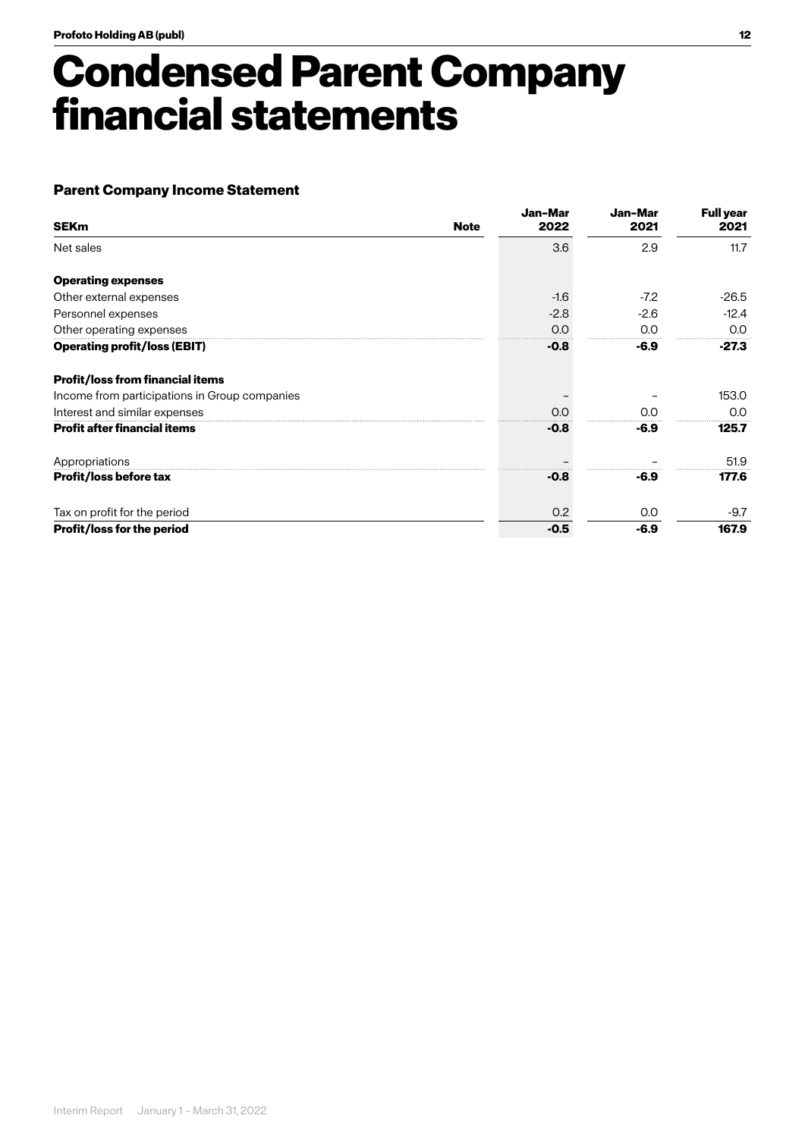## **Condensed Parent Company financial statements**

## **Parent Company Income Statement**

| <b>SEKm</b>                                   | <b>Note</b> | Jan-Mar<br>2022 | Jan-Mar<br>2021 | <b>Full year</b><br>2021 |
|-----------------------------------------------|-------------|-----------------|-----------------|--------------------------|
| Net sales                                     |             | 3.6             | 2.9             | 11.7                     |
| <b>Operating expenses</b>                     |             |                 |                 |                          |
| Other external expenses                       |             | $-1.6$          | $-7.2$          | $-26.5$                  |
| Personnel expenses                            |             | $-2.8$          | $-2.6$          | $-12.4$                  |
| Other operating expenses                      |             | 0.0             | 0.0             | 0.0                      |
| <b>Operating profit/loss (EBIT)</b>           |             | $-0.8$          | $-6.9$          | $-27.3$                  |
| <b>Profit/loss from financial items</b>       |             |                 |                 |                          |
| Income from participations in Group companies |             |                 |                 | 153.0                    |
| Interest and similar expenses                 |             | 0.0             | O.O             | 0.0                      |
| <b>Profit after financial items</b>           |             | $-0.8$          | -6.9            | 125.7                    |
| Appropriations                                |             |                 |                 | 51.9                     |
| <b>Profit/loss before tax</b>                 |             | $-0.8$          | -6.9            | 177.6                    |
| Tax on profit for the period                  |             | 0.2             | 0.0             | $-9.7$                   |
| Profit/loss for the period                    |             | $-0.5$          | $-6.9$          | 167.9                    |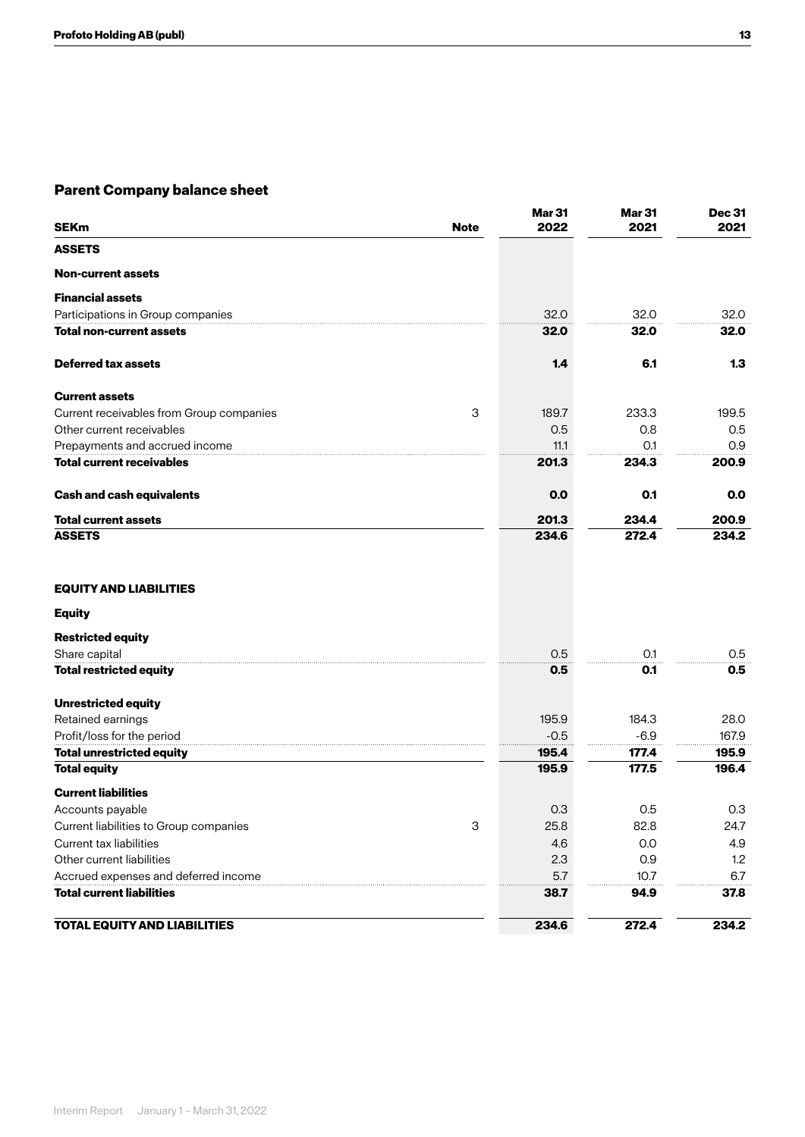## **Parent Company balance sheet**

| <b>SEKm</b><br><b>Note</b>                    | <b>Mar 31</b><br>2022 | Mar <sub>31</sub><br>2021 | <b>Dec 31</b><br>2021 |
|-----------------------------------------------|-----------------------|---------------------------|-----------------------|
| <b>ASSETS</b>                                 |                       |                           |                       |
| <b>Non-current assets</b>                     |                       |                           |                       |
| <b>Financial assets</b>                       |                       |                           |                       |
| Participations in Group companies             | 32.0                  | 32.0                      | 32.0                  |
| <b>Total non-current assets</b>               | 32.0                  | 32.0                      | 32.0                  |
| Deferred tax assets                           | 1.4                   | 6.1                       | 1.3                   |
| <b>Current assets</b>                         |                       |                           |                       |
| 3<br>Current receivables from Group companies | 189.7                 | 233.3                     | 199.5                 |
| Other current receivables                     | 0.5                   | 0.8                       | 0.5                   |
| Prepayments and accrued income                | 11.1                  | O.1                       | 0.9                   |
| <b>Total current receivables</b>              | 201.3                 | 234.3                     | 200.9                 |
| <b>Cash and cash equivalents</b>              | 0.0                   | 0.1                       | 0.0                   |
| <b>Total current assets</b>                   | 201.3                 | 234.4                     | 200.9                 |
| <b>ASSETS</b>                                 | 234.6                 | 272.4                     | 234.2                 |
| <b>EQUITY AND LIABILITIES</b>                 |                       |                           |                       |
| <b>Equity</b>                                 |                       |                           |                       |
| <b>Restricted equity</b>                      |                       |                           |                       |
| Share capital                                 | 0.5                   | O.1                       | 0.5                   |
| <b>Total restricted equity</b>                | 0.5                   | 0.1                       | 0.5                   |
| <b>Unrestricted equity</b>                    |                       |                           |                       |
| Retained earnings                             | 195.9                 | 184.3                     | 28.0                  |
| Profit/loss for the period                    | $-0.5$                | $-6.9$                    | 167.9                 |
| <b>Total unrestricted equity</b>              | 195.4                 | 177.4                     | 195.9                 |
| <b>Total equity</b>                           | 195.9                 | 177.5                     | 196.4                 |
| <b>Current liabilities</b>                    |                       |                           |                       |
| Accounts payable                              | 0.3                   | 0.5                       | 0.3                   |
| 3<br>Current liabilities to Group companies   | 25.8                  | 82.8                      | 24.7                  |
| Current tax liabilities                       | 4.6                   | 0.0                       | 4.9                   |
| Other current liabilities                     | 2.3                   | 0.9                       | 1.2                   |
| Accrued expenses and deferred income          | 5.7                   | 10.7                      | 6.7                   |
| <b>Total current liabilities</b>              | 38.7                  | 94.9                      | 37.8                  |
| <b>TOTAL EQUITY AND LIABILITIES</b>           | 234.6                 | 272.4                     | 234.2                 |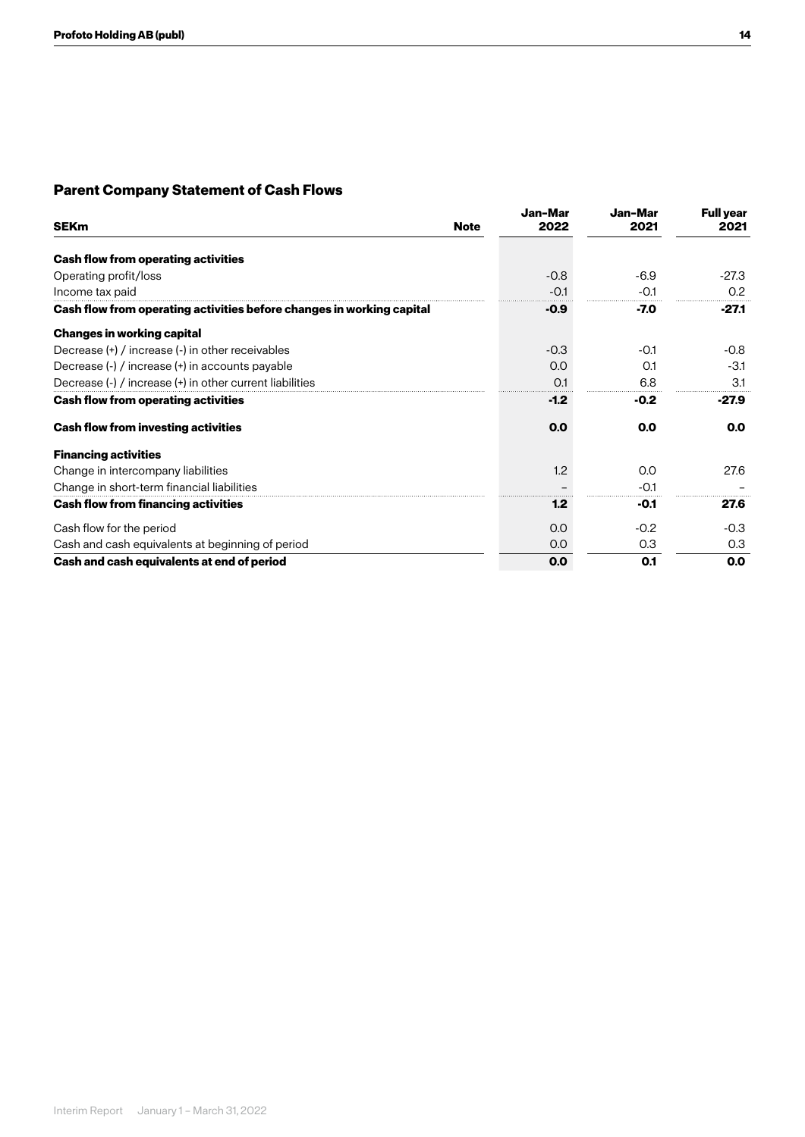## **Parent Company Statement of Cash Flows**

| <b>SEKm</b>                                                           | Jan-Mar<br>2022<br><b>Note</b> | Jan-Mar<br>2021 | <b>Full year</b><br>2021 |
|-----------------------------------------------------------------------|--------------------------------|-----------------|--------------------------|
| <b>Cash flow from operating activities</b>                            |                                |                 |                          |
| Operating profit/loss                                                 | $-0.8$                         | $-6.9$          | $-27.3$                  |
|                                                                       |                                |                 |                          |
| Income tax paid                                                       | $-0.1$                         | $-0.1$          | 0.2                      |
| Cash flow from operating activities before changes in working capital | -0.9                           | $-7.0$          | $-27.1$                  |
| <b>Changes in working capital</b>                                     |                                |                 |                          |
| Decrease (+) / increase (-) in other receivables                      | $-0.3$                         | $-0.1$          | $-0.8$                   |
| Decrease (-) / increase (+) in accounts payable                       | 0.0                            | O.1             | $-3.1$                   |
| Decrease (-) / increase (+) in other current liabilities              | O.1                            | 6.8             | 3.1                      |
| Cash flow from operating activities                                   | $-1.2$                         | $-0.2$          | $-27.9$                  |
| <b>Cash flow from investing activities</b>                            | 0.0                            | 0.0             | 0.0                      |
| <b>Financing activities</b>                                           |                                |                 |                          |
| Change in intercompany liabilities                                    | 1.2                            | 0.0             | 27.6                     |
| Change in short-term financial liabilities                            |                                | $-0.1$          |                          |
| <b>Cash flow from financing activities</b>                            | 1.2                            | -0.1            | 27.6                     |
| Cash flow for the period                                              | 0.0                            | $-0.2$          | $-0.3$                   |
| Cash and cash equivalents at beginning of period                      | 0.0                            | 0.3             | 0.3                      |
| Cash and cash equivalents at end of period                            | 0.0                            | 0.1             | 0.0                      |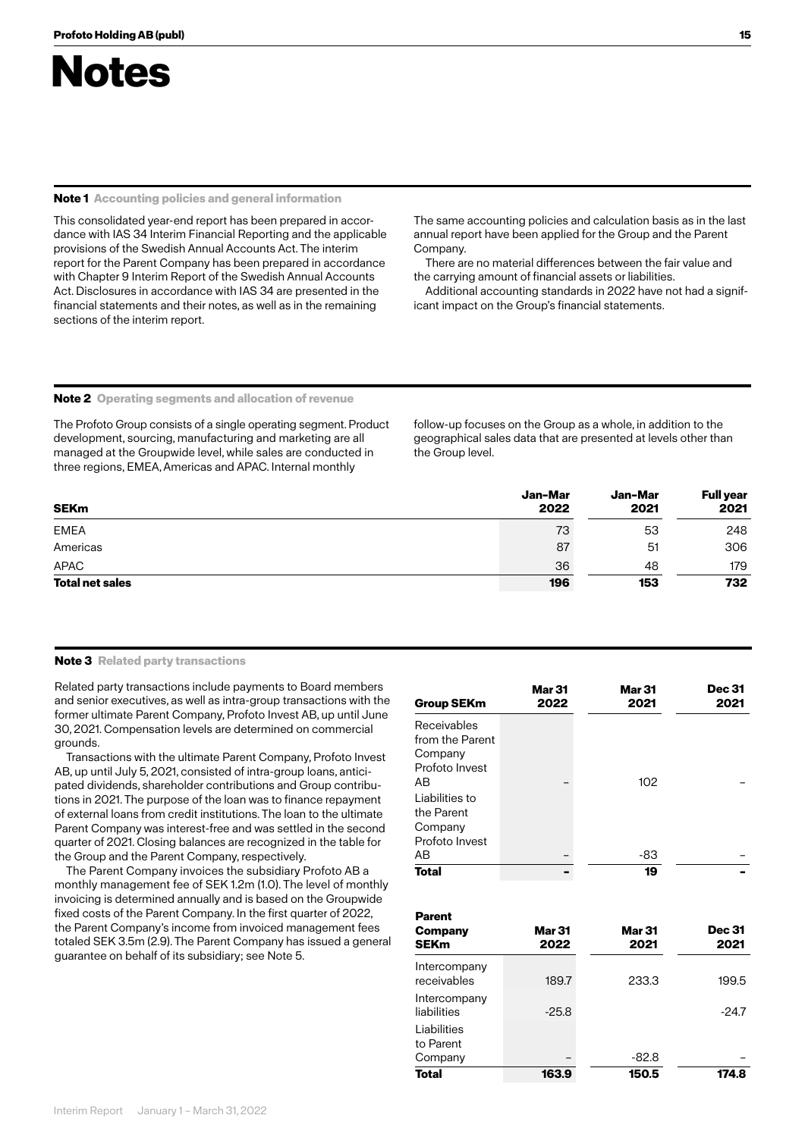

#### **Note 1 Accounting policies and general information**

This consolidated year-end report has been prepared in accordance with IAS 34 Interim Financial Reporting and the applicable provisions of the Swedish Annual Accounts Act. The interim report for the Parent Company has been prepared in accordance with Chapter 9 Interim Report of the Swedish Annual Accounts Act. Disclosures in accordance with IAS 34 are presented in the financial statements and their notes, as well as in the remaining sections of the interim report.

The same accounting policies and calculation basis as in the last annual report have been applied for the Group and the Parent Company.

There are no material differences between the fair value and the carrying amount of financial assets or liabilities.

Additional accounting standards in 2022 have not had a significant impact on the Group's financial statements.

### **Note 2 Operating segments and allocation of revenue**

The Profoto Group consists of a single operating segment. Product development, sourcing, manufacturing and marketing are all managed at the Groupwide level, while sales are conducted in three regions, EMEA, Americas and APAC. Internal monthly

follow-up focuses on the Group as a whole, in addition to the geographical sales data that are presented at levels other than the Group level.

| <b>SEKm</b>            | Jan-Mar<br>2022 | Jan-Mar<br>2021 | <b>Full year</b><br>2021 |
|------------------------|-----------------|-----------------|--------------------------|
| <b>EMEA</b>            | 73              | 53              | 248                      |
| Americas               | 87              | 51              | 306                      |
| APAC                   | 36              | 48              | 179                      |
| <b>Total net sales</b> | 196             | 153             | 732                      |

### **Note 3 Related party transactions**

Related party transactions include payments to Board members and senior executives, as well as intra-group transactions with the former ultimate Parent Company, Profoto Invest AB, up until June 30, 2021. Compensation levels are determined on commercial grounds.

Transactions with the ultimate Parent Company, Profoto Invest AB, up until July 5, 2021, consisted of intra-group loans, anticipated dividends, shareholder contributions and Group contributions in 2021. The purpose of the loan was to finance repayment of external loans from credit institutions. The loan to the ultimate Parent Company was interest-free and was settled in the second quarter of 2021. Closing balances are recognized in the table for the Group and the Parent Company, respectively.

The Parent Company invoices the subsidiary Profoto AB a monthly management fee of SEK 1.2m (1.0). The level of monthly invoicing is determined annually and is based on the Groupwide fixed costs of the Parent Company. In the first quarter of 2022, the Parent Company's income from invoiced management fees totaled SEK 3.5m (2.9). The Parent Company has issued a general guarantee on behalf of its subsidiary; see Note 5.

| <b>Group SEKm</b>                                                 | <b>Mar 31</b><br>2022 | <b>Mar 31</b><br>2021       | <b>Dec 31</b><br>2021 |
|-------------------------------------------------------------------|-----------------------|-----------------------------|-----------------------|
| Receivables<br>from the Parent<br>Company<br>Profoto Invest<br>ΑB |                       | 102                         |                       |
| Liabilities to<br>the Parent<br>Company<br>Profoto Invest         |                       |                             |                       |
| AB                                                                |                       | -83                         |                       |
| <b>Total</b><br><b>Parent</b><br>Company<br><b>SEKm</b>           | <b>Mar 31</b><br>2022 | 19<br><b>Mar 31</b><br>2021 | <b>Dec 31</b><br>2021 |
| Intercompany<br>receivables                                       | 189.7                 | 233.3                       | 199.5                 |
| Intercompany<br>liabilities                                       | $-25.8$               |                             | $-24.7$               |
| Liabilities<br>to Parent<br>Company                               |                       | $-82.8$                     |                       |

**Total 163.9 150.5 174.8**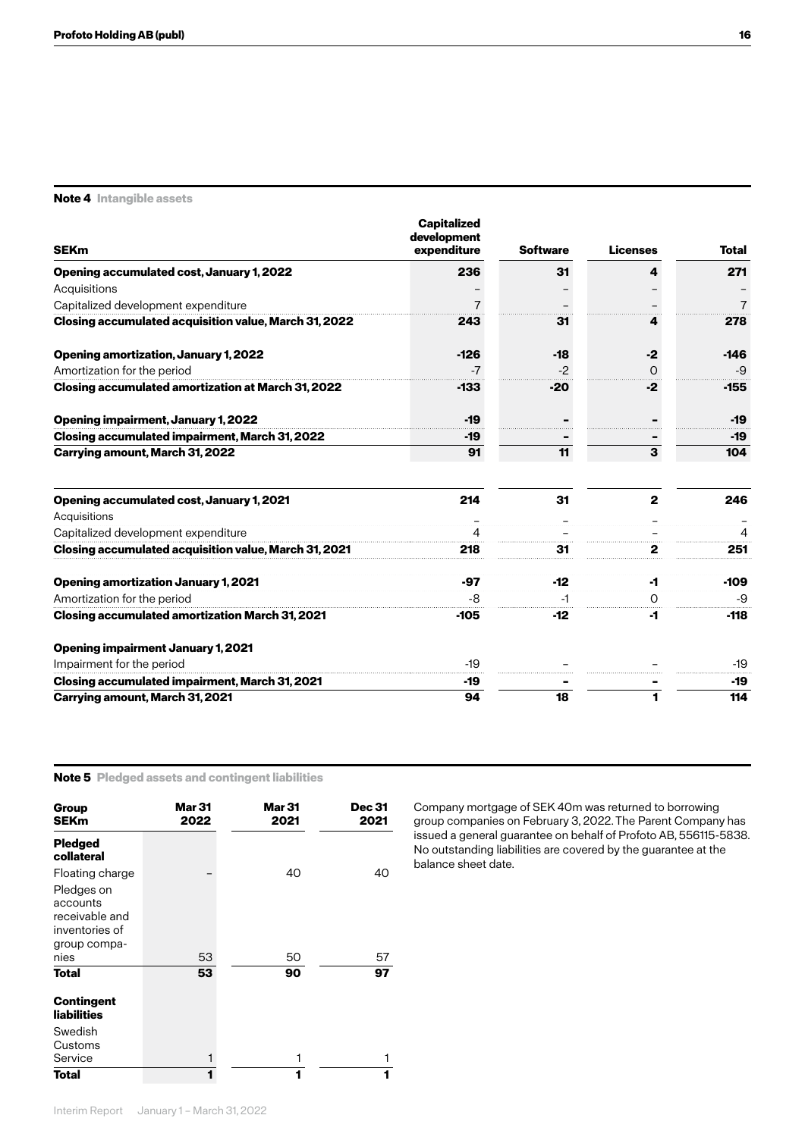**Note 4 Intangible assets**

| <b>SEKm</b>                                                                                  | <b>Capitalized</b><br>development<br>expenditure | <b>Software</b> | <b>Licenses</b> | <b>Total</b> |
|----------------------------------------------------------------------------------------------|--------------------------------------------------|-----------------|-----------------|--------------|
|                                                                                              |                                                  |                 |                 |              |
| Opening accumulated cost, January 1, 2022                                                    | 236                                              | 31              | 4               | 271          |
| Acquisitions                                                                                 |                                                  |                 |                 |              |
| Capitalized development expenditure<br>Closing accumulated acquisition value, March 31, 2022 | 243                                              | 31              |                 | 278          |
|                                                                                              |                                                  |                 |                 |              |
| <b>Opening amortization, January 1, 2022</b>                                                 | $-126$                                           | $-18$           | $-2$            | $-146$       |
| Amortization for the period                                                                  |                                                  |                 | Ω               | -9           |
| Closing accumulated amortization at March 31, 2022                                           | -133                                             | -20             | -2              | -155         |
| <b>Opening impairment, January 1, 2022</b>                                                   | $-19$                                            |                 |                 | $-19$        |
| Closing accumulated impairment, March 31, 2022                                               | -19                                              |                 |                 | -19          |
| Carrying amount, March 31, 2022                                                              | 91                                               | 11              | 3               | 104          |
| Opening accumulated cost, January 1, 2021                                                    | 214                                              | 31              | $\mathbf{2}$    | 246          |
| Acquisitions                                                                                 |                                                  |                 |                 |              |
| Capitalized development expenditure                                                          |                                                  |                 |                 |              |
| <b>Closing accumulated acquisition value, March 31, 2021</b>                                 | 218                                              | 31              | 2               | 251          |
| <b>Opening amortization January 1, 2021</b>                                                  | -97                                              | $-12$           | -1              | $-109$       |
| Amortization for the period                                                                  | -8                                               |                 | 0               | -9           |
| <b>Closing accumulated amortization March 31, 2021</b>                                       | -105                                             | -12             | -1              | -118         |
| <b>Opening impairment January 1, 2021</b>                                                    |                                                  |                 |                 |              |
| Impairment for the period                                                                    | $-19$                                            |                 |                 | $-19$        |
| <b>Closing accumulated impairment, March 31, 2021</b>                                        | -19                                              |                 |                 | -19          |
| <b>Carrying amount, March 31, 2021</b>                                                       | 94                                               | 18              |                 | 114          |

### **Note 5 Pledged assets and contingent liabilities**

| Group<br><b>SEKm</b>         | <b>Mar 31</b><br>2022 | <b>Mar 31</b><br>2021 | <b>Dec 31</b><br>2021 |
|------------------------------|-----------------------|-----------------------|-----------------------|
| <b>Pledged</b><br>collateral |                       |                       |                       |
| Floating charge              |                       | 40                    | 40                    |
| Pledges on                   |                       |                       |                       |
| accounts                     |                       |                       |                       |
| receivable and               |                       |                       |                       |
| inventories of               |                       |                       |                       |
| group compa-                 |                       |                       |                       |
| nies                         | 53                    | 50                    | 57                    |
| <b>Total</b>                 | 53                    | 90                    | 97                    |
| Contingent                   |                       |                       |                       |
| <b>liabilities</b>           |                       |                       |                       |
| Swedish                      |                       |                       |                       |
| Customs                      |                       |                       |                       |
| Service                      |                       |                       |                       |
| Total                        | 1                     |                       | 1                     |

Company mortgage of SEK 40m was returned to borrowing group companies on February 3, 2022. The Parent Company has issued a general guarantee on behalf of Profoto AB, 556115-5838. No outstanding liabilities are covered by the guarantee at the balance sheet date.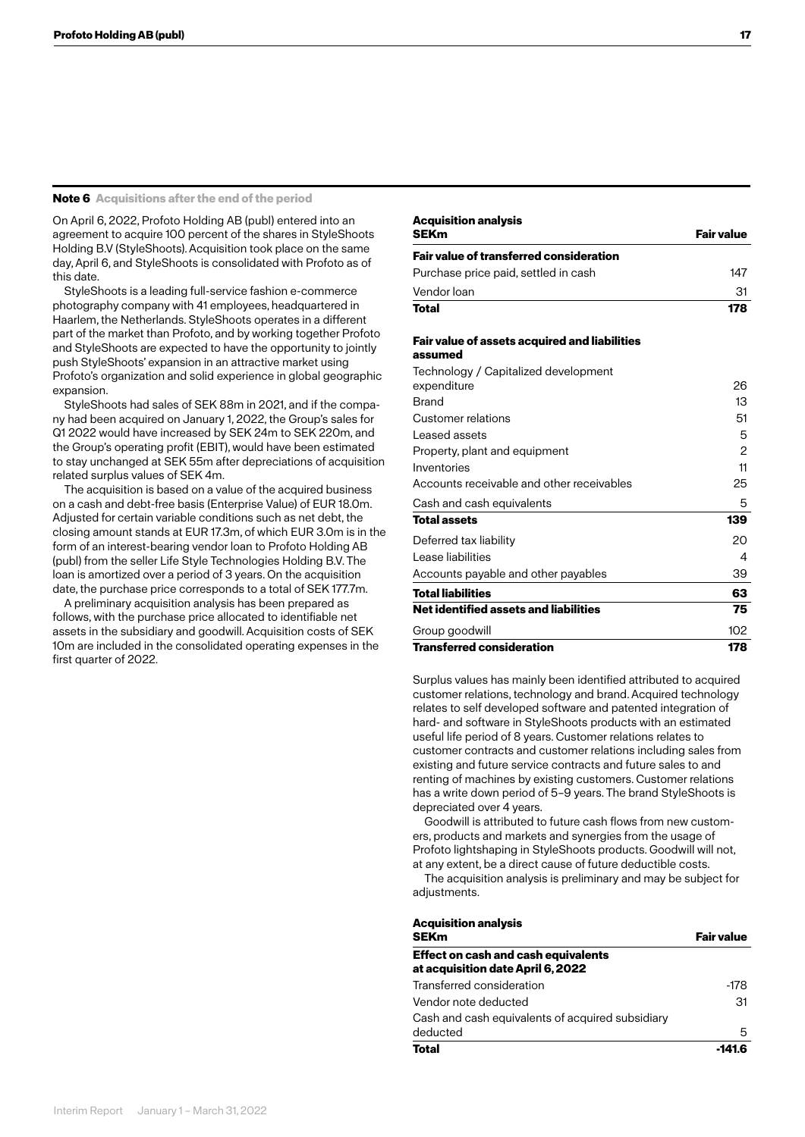### **Note 6 Acquisitions after the end of the period**

On April 6, 2022, Profoto Holding AB (publ) entered into an agreement to acquire 100 percent of the shares in StyleShoots Holding B.V (StyleShoots). Acquisition took place on the same day, April 6, and StyleShoots is consolidated with Profoto as of this date.

StyleShoots is a leading full-service fashion e-commerce photography company with 41 employees, headquartered in Haarlem, the Netherlands. StyleShoots operates in a different part of the market than Profoto, and by working together Profoto and StyleShoots are expected to have the opportunity to jointly push StyleShoots' expansion in an attractive market using Profoto's organization and solid experience in global geographic expansion.

StyleShoots had sales of SEK 88m in 2021, and if the company had been acquired on January 1, 2022, the Group's sales for Q1 2022 would have increased by SEK 24m to SEK 220m, and the Group's operating profit (EBIT), would have been estimated to stay unchanged at SEK 55m after depreciations of acquisition related surplus values of SEK 4m.

The acquisition is based on a value of the acquired business on a cash and debt-free basis (Enterprise Value) of EUR 18.0m. Adjusted for certain variable conditions such as net debt, the closing amount stands at EUR 17.3m, of which EUR 3.0m is in the form of an interest-bearing vendor loan to Profoto Holding AB (publ) from the seller Life Style Technologies Holding B.V. The loan is amortized over a period of 3 years. On the acquisition date, the purchase price corresponds to a total of SEK 177.7m.

A preliminary acquisition analysis has been prepared as follows, with the purchase price allocated to identifiable net assets in the subsidiary and goodwill. Acquisition costs of SEK 10m are included in the consolidated operating expenses in the first quarter of 2022.

## **Total 178 Fair value of assets acquired and liabilities assumed** Technology / Capitalized development expenditure 26 Brand 13 Customer relations 51 Leased assets 5 Property, plant and equipment 2 Inventories 11 Accounts receivable and other receivables 25 Cash and cash equivalents 5 **Total assets 139** Deferred tax liability 20 Lease liabilities 4 Accounts payable and other payables 39 **Total liabilities 63 Net identified assets and liabilities 75** Group goodwill and the contract of the contract of the contract of the contract of the contract of the contract of the contract of the contract of the contract of the contract of the contract of the contract of the contrac **Transferred consideration 178**

**Acquisition analysis**

**Fair value of transferred consideration**

Surplus values has mainly been identified attributed to acquired customer relations, technology and brand. Acquired technology relates to self developed software and patented integration of hard- and software in StyleShoots products with an estimated useful life period of 8 years. Customer relations relates to customer contracts and customer relations including sales from existing and future service contracts and future sales to and renting of machines by existing customers. Customer relations has a write down period of 5–9 years. The brand StyleShoots is depreciated over 4 years.

Goodwill is attributed to future cash flows from new customers, products and markets and synergies from the usage of Profoto lightshaping in StyleShoots products. Goodwill will not, at any extent, be a direct cause of future deductible costs.

The acquisition analysis is preliminary and may be subject for adjustments.

| <b>Acquisition analysis</b>                      |                   |
|--------------------------------------------------|-------------------|
| <b>SEKm</b>                                      | <b>Fair value</b> |
| <b>Effect on cash and cash equivalents</b>       |                   |
| at acquisition date April 6, 2022                |                   |
| Transferred consideration                        | -178              |
| Vendor note deducted                             | 31                |
| Cash and cash equivalents of acquired subsidiary |                   |
| deducted                                         | 5                 |
| <b>Total</b>                                     | -141.6            |

**SEKm Fair value** 

Purchase price paid, settled in cash 147 Vendor loan 31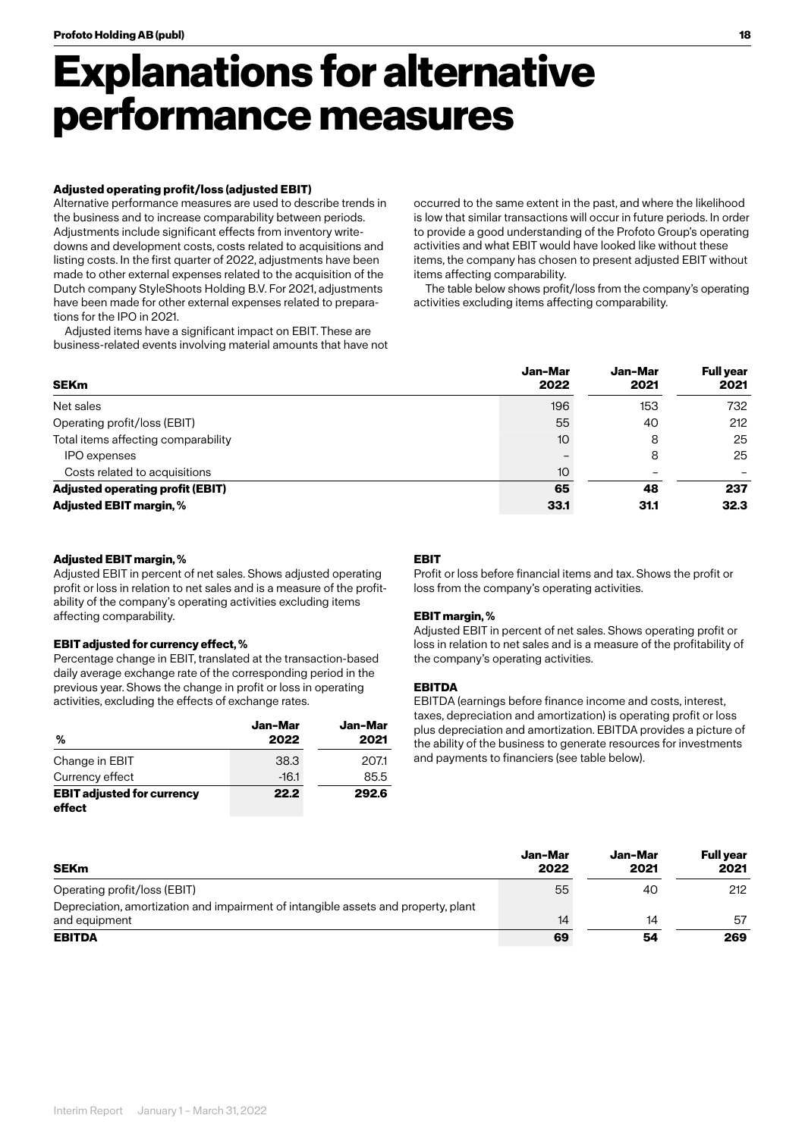## **Explanations for alternative performance measures**

### **Adjusted operating profit/loss (adjusted EBIT)**

Alternative performance measures are used to describe trends in the business and to increase comparability between periods. Adjustments include significant effects from inventory writedowns and development costs, costs related to acquisitions and listing costs. In the first quarter of 2022, adjustments have been made to other external expenses related to the acquisition of the Dutch company StyleShoots Holding B.V. For 2021, adjustments have been made for other external expenses related to preparations for the IPO in 2021.

Adjusted items have a significant impact on EBIT. These are business-related events involving material amounts that have not occurred to the same extent in the past, and where the likelihood is low that similar transactions will occur in future periods. In order to provide a good understanding of the Profoto Group's operating activities and what EBIT would have looked like without these items, the company has chosen to present adjusted EBIT without items affecting comparability.

The table below shows profit/loss from the company's operating activities excluding items affecting comparability.

| <b>SEKm</b>                             | Jan-Mar<br>2022 | Jan-Mar<br>2021          | <b>Full year</b><br>2021 |
|-----------------------------------------|-----------------|--------------------------|--------------------------|
| Net sales                               | 196             | 153                      | 732                      |
| Operating profit/loss (EBIT)            | 55              | 40                       | 212                      |
| Total items affecting comparability     | 10              | 8                        | 25                       |
| IPO expenses                            |                 | 8                        | 25                       |
| Costs related to acquisitions           | 10              | $\overline{\phantom{0}}$ |                          |
| <b>Adjusted operating profit (EBIT)</b> | 65              | 48                       | 237                      |
| <b>Adjusted EBIT margin, %</b>          | 33.1            | 31.1                     | 32.3                     |

### **Adjusted EBIT margin, %**

Adjusted EBIT in percent of net sales. Shows adjusted operating profit or loss in relation to net sales and is a measure of the profitability of the company's operating activities excluding items affecting comparability.

### **EBIT adjusted for currency effect, %**

Percentage change in EBIT, translated at the transaction-based daily average exchange rate of the corresponding period in the previous year. Shows the change in profit or loss in operating activities, excluding the effects of exchange rates.

| %                                           | Jan-Mar<br>2022 | Jan-Mar<br>2021 |
|---------------------------------------------|-----------------|-----------------|
| Change in EBIT                              | 38.3            | 207.1           |
| Currency effect                             | $-16.1$         | 85.5            |
| <b>EBIT adjusted for currency</b><br>effect | 22.2            | 292.6           |

### **EBIT**

Profit or loss before financial items and tax. Shows the profit or loss from the company's operating activities.

### **EBIT margin, %**

Adjusted EBIT in percent of net sales. Shows operating profit or loss in relation to net sales and is a measure of the profitability of the company's operating activities.

### **EBITDA**

EBITDA (earnings before finance income and costs, interest, taxes, depreciation and amortization) is operating profit or loss plus depreciation and amortization. EBITDA provides a picture of the ability of the business to generate resources for investments and payments to financiers (see table below).

| SEKm                                                                               | Jan-Mar<br>2022 | Jan-Mar<br>2021 | Full vear<br>2021 |
|------------------------------------------------------------------------------------|-----------------|-----------------|-------------------|
| Operating profit/loss (EBIT)                                                       | 55              | 40              | 212               |
| Depreciation, amortization and impairment of intangible assets and property, plant |                 |                 |                   |
| and equipment                                                                      | 14              | 14              | 57                |
| <b>EBITDA</b>                                                                      | 69              | 54              | 269               |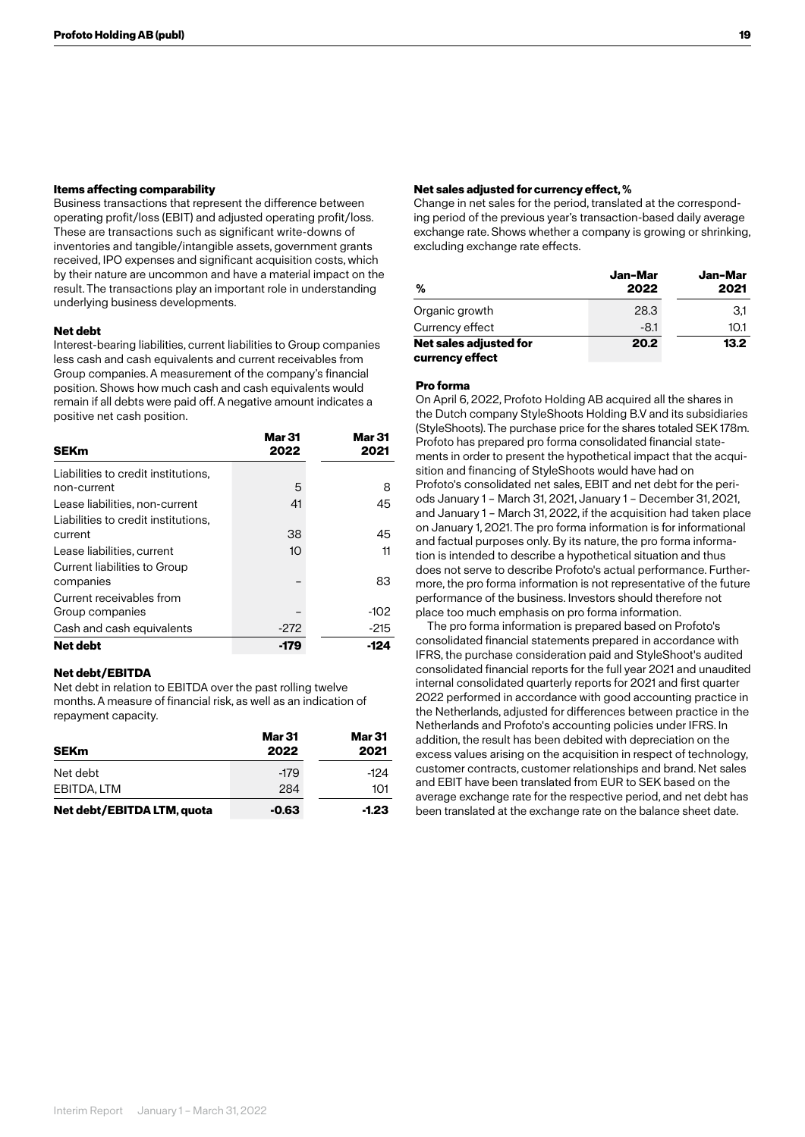### **Items affecting comparability**

Business transactions that represent the difference between operating profit/loss (EBIT) and adjusted operating profit/loss. These are transactions such as significant write-downs of inventories and tangible/intangible assets, government grants received, IPO expenses and significant acquisition costs, which by their nature are uncommon and have a material impact on the result. The transactions play an important role in understanding underlying business developments.

### **Net debt**

Interest-bearing liabilities, current liabilities to Group companies less cash and cash equivalents and current receivables from Group companies. A measurement of the company's financial position. Shows how much cash and cash equivalents would remain if all debts were paid off. A negative amount indicates a positive net cash position.

| <b>SEKm</b>                         | <b>Mar 31</b><br>2022 | <b>Mar 31</b><br>2021 |
|-------------------------------------|-----------------------|-----------------------|
| Liabilities to credit institutions, |                       |                       |
| non-current                         | 5                     | 8                     |
| Lease liabilities, non-current      | 41                    | 45                    |
| Liabilities to credit institutions. |                       |                       |
| current                             | 38                    | 45                    |
| Lease liabilities, current          | 10                    | 11                    |
| Current liabilities to Group        |                       |                       |
| companies                           |                       | 83                    |
| Current receivables from            |                       |                       |
| Group companies                     |                       | $-102$                |
| Cash and cash equivalents           | $-272$                | $-215$                |
| Net debt                            | -179                  | -124                  |

### **Net debt/EBITDA**

Net debt in relation to EBITDA over the past rolling twelve months. A measure of financial risk, as well as an indication of repayment capacity.

| <b>SEKm</b>                | Mar 31<br>2022 | <b>Mar 31</b><br>2021 |
|----------------------------|----------------|-----------------------|
| Net debt                   | $-179$         | -124                  |
| EBITDA, LTM                | 284            | 101                   |
| Net debt/EBITDA LTM, quota | $-0.63$        | $-1.23$               |

### **Net sales adjusted for currency effect, %**

Change in net sales for the period, translated at the corresponding period of the previous year's transaction-based daily average exchange rate. Shows whether a company is growing or shrinking, excluding exchange rate effects.

| %                                         | Jan-Mar<br>2022 | Jan-Mar<br>2021 |
|-------------------------------------------|-----------------|-----------------|
| Organic growth                            | 28.3            | 3,1             |
| Currency effect                           | $-8.1$          | 10.1            |
| Net sales adjusted for<br>currency effect | 20.2            | 13.2            |

### **Pro forma**

On April 6, 2022, Profoto Holding AB acquired all the shares in the Dutch company StyleShoots Holding B.V and its subsidiaries (StyleShoots). The purchase price for the shares totaled SEK 178m. Profoto has prepared pro forma consolidated financial statements in order to present the hypothetical impact that the acquisition and financing of StyleShoots would have had on Profoto's consolidated net sales, EBIT and net debt for the periods January 1 – March 31, 2021, January 1 – December 31, 2021, and January 1 – March 31, 2022, if the acquisition had taken place on January 1, 2021. The pro forma information is for informational and factual purposes only. By its nature, the pro forma information is intended to describe a hypothetical situation and thus does not serve to describe Profoto's actual performance. Furthermore, the pro forma information is not representative of the future performance of the business. Investors should therefore not place too much emphasis on pro forma information.

The pro forma information is prepared based on Profoto's consolidated financial statements prepared in accordance with IFRS, the purchase consideration paid and StyleShoot's audited consolidated financial reports for the full year 2021 and unaudited internal consolidated quarterly reports for 2021 and first quarter 2022 performed in accordance with good accounting practice in the Netherlands, adjusted for differences between practice in the Netherlands and Profoto's accounting policies under IFRS. In addition, the result has been debited with depreciation on the excess values arising on the acquisition in respect of technology, customer contracts, customer relationships and brand. Net sales and EBIT have been translated from EUR to SEK based on the average exchange rate for the respective period, and net debt has been translated at the exchange rate on the balance sheet date.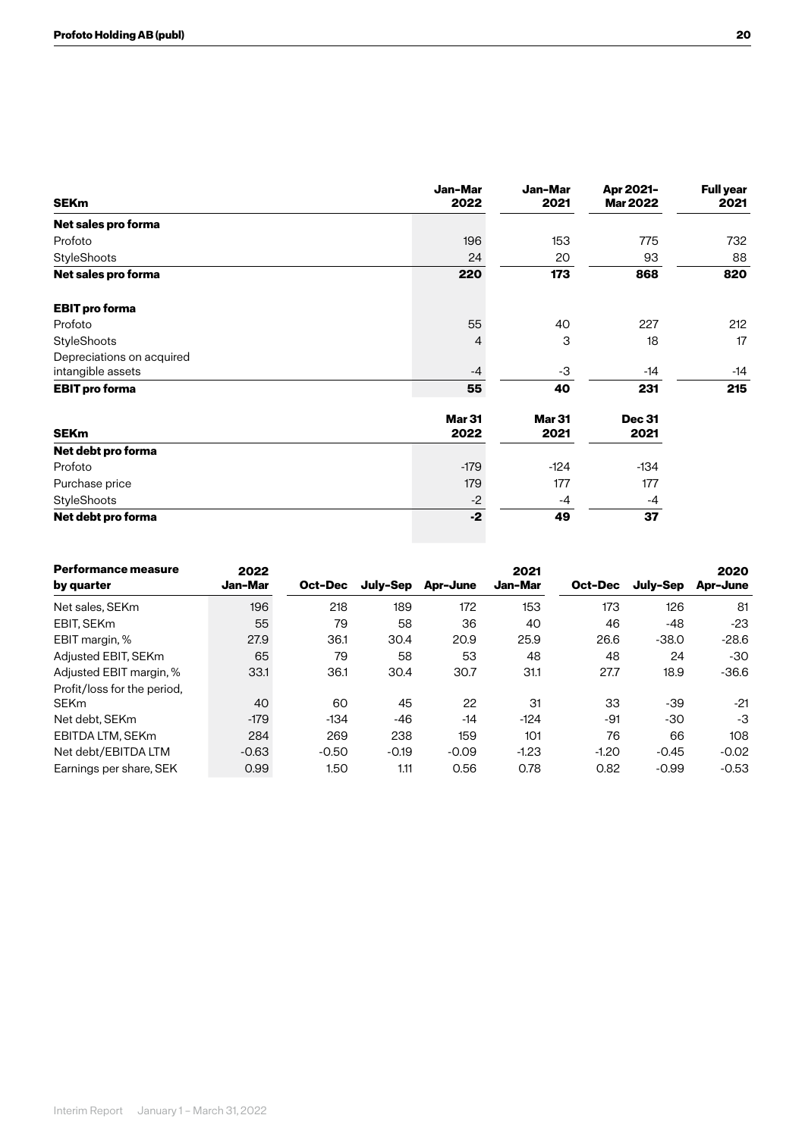| <b>SEKm</b>               | Jan-Mar<br>2022       | Jan-Mar<br>2021       | Apr 2021-<br><b>Mar 2022</b> | <b>Full year</b><br>2021 |
|---------------------------|-----------------------|-----------------------|------------------------------|--------------------------|
| Net sales pro forma       |                       |                       |                              |                          |
| Profoto                   | 196                   | 153                   | 775                          | 732                      |
| StyleShoots               | 24                    | 20                    | 93                           | 88                       |
| Net sales pro forma       | 220                   | 173                   | 868                          | 820                      |
| <b>EBIT</b> pro forma     |                       |                       |                              |                          |
| Profoto                   | 55                    | 40                    | 227                          | 212                      |
| StyleShoots               | 4                     | 3                     | 18                           | 17                       |
| Depreciations on acquired |                       |                       |                              |                          |
| intangible assets         | $-4$                  | -3                    | -14                          | -14                      |
| <b>EBIT pro forma</b>     | 55                    | 40                    | 231                          | 215                      |
| <b>SEKm</b>               | <b>Mar 31</b><br>2022 | <b>Mar 31</b><br>2021 | <b>Dec 31</b><br>2021        |                          |
| Net debt pro forma        |                       |                       |                              |                          |
| Profoto                   | $-179$                | $-124$                | $-134$                       |                          |
| Purchase price            | 179                   | 177                   | 177                          |                          |
| StyleShoots               | $-2$                  | $-4$                  | -4                           |                          |
| Net debt pro forma        | $-2$                  | 49                    | 37                           |                          |

| <b>Performance measure</b><br>by quarter | 2022<br>Jan-Mar | Oct-Dec | July-Sep | Apr-June | 2021<br>Jan-Mar | Oct-Dec | July-Sep | 2020<br>Apr-June |
|------------------------------------------|-----------------|---------|----------|----------|-----------------|---------|----------|------------------|
| Net sales, SEKm                          | 196             | 218     | 189      | 172      | 153             | 173     | 126      | 81               |
| EBIT. SEKm                               | 55              | 79      | 58       | 36       | 40              | 46      | -48      | $-23$            |
| EBIT margin, %                           | 27.9            | 36.1    | 30.4     | 20.9     | 25.9            | 26.6    | $-38.0$  | $-28.6$          |
| Adjusted EBIT, SEKm                      | 65              | 79      | 58       | 53       | 48              | 48      | 24       | -30              |
| Adjusted EBIT margin, %                  | 33.1            | 36.1    | 30.4     | 30.7     | 31.1            | 27.7    | 18.9     | $-36.6$          |
| Profit/loss for the period,              |                 |         |          |          |                 |         |          |                  |
| <b>SEKm</b>                              | 40              | 60      | 45       | 22       | 31              | 33      | -39      | $-21$            |
| Net debt. SEKm                           | $-179$          | $-134$  | $-46$    | $-14$    | $-124$          | -91     | -30      | -3               |
| EBITDA LTM, SEKm                         | 284             | 269     | 238      | 159      | 101             | 76      | 66       | 108              |
| Net debt/EBITDA LTM                      | $-0.63$         | $-0.50$ | $-0.19$  | $-0.09$  | $-1.23$         | $-1.20$ | $-0.45$  | $-0.02$          |
| Earnings per share, SEK                  | 0.99            | 1.50    | 1.11     | 0.56     | 0.78            | 0.82    | $-0.99$  | $-0.53$          |